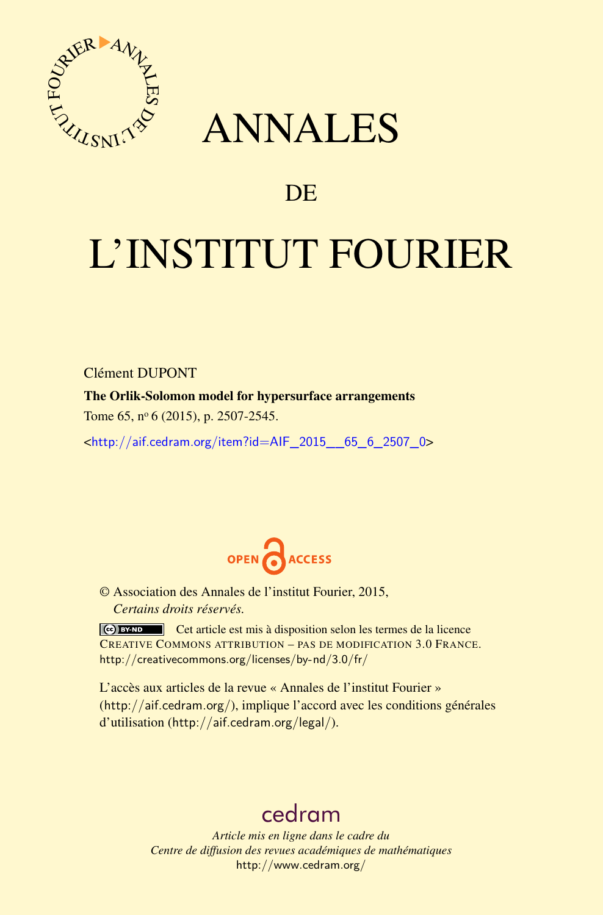

# ANNALES

# **DE**

# L'INSTITUT FOURIER

Clément DUPONT

The Orlik-Solomon model for hypersurface arrangements

Tome 65, nº 6 (2015), p. 2507-2545.

 $\kappa$ http://aif.cedram.org/item?id=AIF 2015 65 6 2507 0>



© Association des Annales de l'institut Fourier, 2015, *Certains droits réservés.*

Cet article est mis à disposition selon les termes de la licence CREATIVE COMMONS ATTRIBUTION – PAS DE MODIFICATION 3.0 FRANCE. <http://creativecommons.org/licenses/by-nd/3.0/fr/>

L'accès aux articles de la revue « Annales de l'institut Fourier » (<http://aif.cedram.org/>), implique l'accord avec les conditions générales d'utilisation (<http://aif.cedram.org/legal/>).

# [cedram](http://www.cedram.org/)

*Article mis en ligne dans le cadre du Centre de diffusion des revues académiques de mathématiques* <http://www.cedram.org/>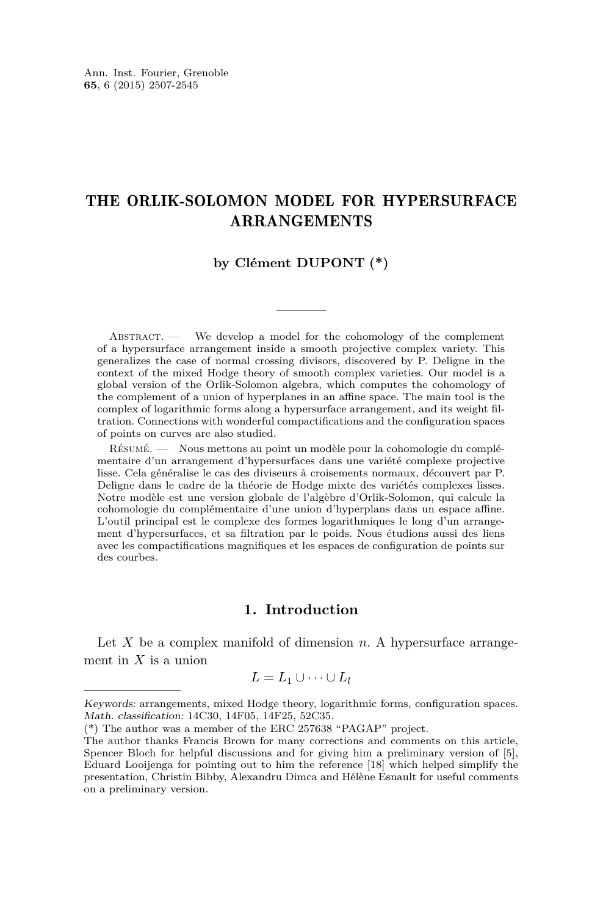# THE ORLIK-SOLOMON MODEL FOR HYPERSURFACE ARRANGEMENTS

# **by Clément DUPONT (\*)**

 $ABSTRACT.$  We develop a model for the cohomology of the complement of a hypersurface arrangement inside a smooth projective complex variety. This generalizes the case of normal crossing divisors, discovered by P. Deligne in the context of the mixed Hodge theory of smooth complex varieties. Our model is a global version of the Orlik-Solomon algebra, which computes the cohomology of the complement of a union of hyperplanes in an affine space. The main tool is the complex of logarithmic forms along a hypersurface arrangement, and its weight filtration. Connections with wonderful compactifications and the configuration spaces of points on curves are also studied.

Résumé. — Nous mettons au point un modèle pour la cohomologie du complémentaire d'un arrangement d'hypersurfaces dans une variété complexe projective lisse. Cela généralise le cas des diviseurs à croisements normaux, découvert par P. Deligne dans le cadre de la théorie de Hodge mixte des variétés complexes lisses. Notre modèle est une version globale de l'algèbre d'Orlik-Solomon, qui calcule la cohomologie du complémentaire d'une union d'hyperplans dans un espace affine. L'outil principal est le complexe des formes logarithmiques le long d'un arrangement d'hypersurfaces, et sa filtration par le poids. Nous étudions aussi des liens avec les compactifications magnifiques et les espaces de configuration de points sur des courbes.

# **1. Introduction**

Let *X* be a complex manifold of dimension *n*. A hypersurface arrangement in *X* is a union

$$
L = L_1 \cup \cdots \cup L_l
$$

Keywords: arrangements, mixed Hodge theory, logarithmic forms, configuration spaces. Math. classification: 14C30, 14F05, 14F25, 52C35.

<sup>(\*)</sup> The author was a member of the ERC 257638 "PAGAP" project.

The author thanks Francis Brown for many corrections and comments on this article, Spencer Bloch for helpful discussions and for giving him a preliminary version of [\[5\]](#page-37-0), Eduard Looijenga for pointing out to him the reference [\[18\]](#page-38-0) which helped simplify the presentation, Christin Bibby, Alexandru Dimca and Hélène Esnault for useful comments on a preliminary version.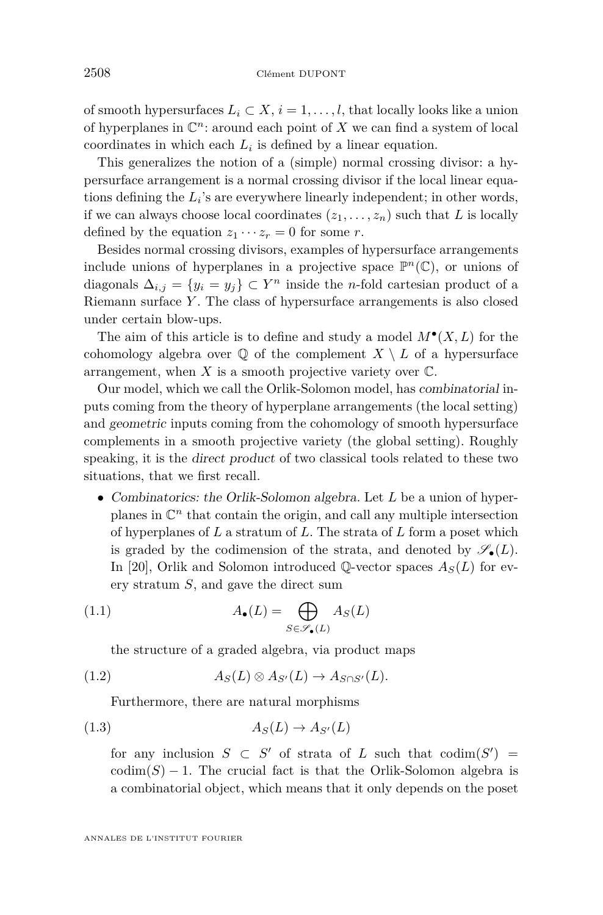<span id="page-2-0"></span>of smooth hypersurfaces  $L_i \subset X$ ,  $i = 1, \ldots, l$ , that locally looks like a union of hyperplanes in  $\mathbb{C}^n$ : around each point of X we can find a system of local coordinates in which each  $L_i$  is defined by a linear equation.

This generalizes the notion of a (simple) normal crossing divisor: a hypersurface arrangement is a normal crossing divisor if the local linear equations defining the *L<sup>i</sup>* 's are everywhere linearly independent; in other words, if we can always choose local coordinates  $(z_1, \ldots, z_n)$  such that L is locally defined by the equation  $z_1 \cdots z_r = 0$  for some *r*.

Besides normal crossing divisors, examples of hypersurface arrangements include unions of hyperplanes in a projective space  $\mathbb{P}^n(\mathbb{C})$ , or unions of diagonals  $\Delta_{i,j} = \{y_i = y_j\} \subset Y^n$  inside the *n*-fold cartesian product of a Riemann surface *Y* . The class of hypersurface arrangements is also closed under certain blow-ups.

The aim of this article is to define and study a model  $M^{\bullet}(X, L)$  for the cohomology algebra over  $\mathbb{Q}$  of the complement  $X \setminus L$  of a hypersurface arrangement, when  $X$  is a smooth projective variety over  $\mathbb{C}$ .

Our model, which we call the Orlik-Solomon model, has combinatorial inputs coming from the theory of hyperplane arrangements (the local setting) and geometric inputs coming from the cohomology of smooth hypersurface complements in a smooth projective variety (the global setting). Roughly speaking, it is the direct product of two classical tools related to these two situations, that we first recall.

• Combinatorics: the Orlik-Solomon algebra. Let *L* be a union of hyperplanes in  $\mathbb{C}^n$  that contain the origin, and call any multiple intersection of hyperplanes of *L* a stratum of *L*. The strata of *L* form a poset which is graded by the codimension of the strata, and denoted by  $\mathscr{S}_{\bullet}(L)$ . In [\[20\]](#page-38-0), Orlik and Solomon introduced Q-vector spaces  $A_S(L)$  for every stratum *S*, and gave the direct sum

(1.1) 
$$
A_{\bullet}(L) = \bigoplus_{S \in \mathscr{S}_{\bullet}(L)} A_{S}(L)
$$

the structure of a graded algebra, via product maps

(1.2) 
$$
A_S(L) \otimes A_{S'}(L) \to A_{S \cap S'}(L).
$$

Furthermore, there are natural morphisms

$$
(1.3) \t\t AS(L) \to AS'(L)
$$

for any inclusion  $S \subset S'$  of strata of *L* such that  $\text{codim}(S') =$  $\text{codim}(S) - 1$ . The crucial fact is that the Orlik-Solomon algebra is a combinatorial object, which means that it only depends on the poset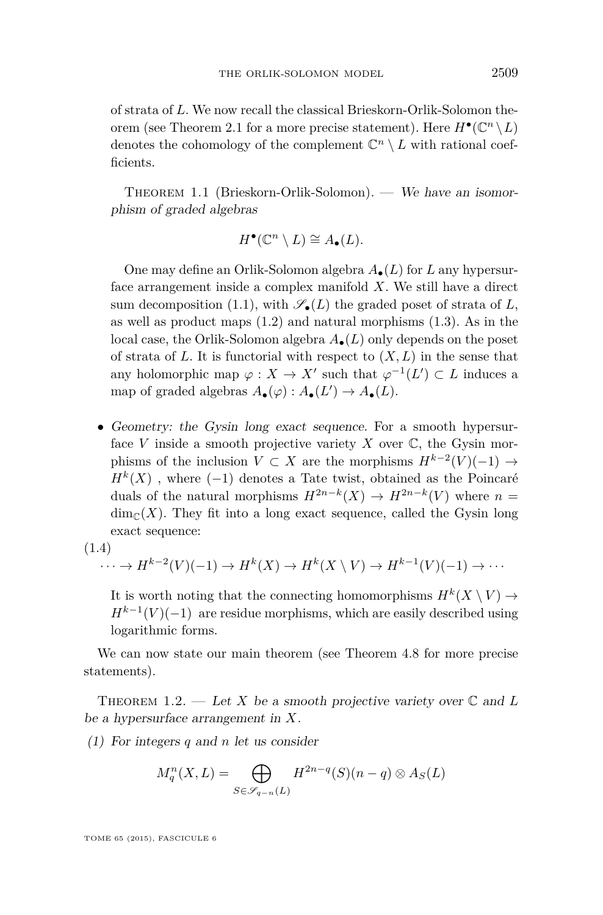<span id="page-3-0"></span>of strata of *L*. We now recall the classical Brieskorn-Orlik-Solomon the-orem (see Theorem [2.1](#page-11-0) for a more precise statement). Here  $H^{\bullet}(\mathbb{C}^n \setminus L)$ denotes the cohomology of the complement  $\mathbb{C}^n \setminus L$  with rational coefficients.

THEOREM 1.1 (Brieskorn-Orlik-Solomon). — We have an isomorphism of graded algebras

$$
H^{\bullet}(\mathbb{C}^n \setminus L) \cong A_{\bullet}(L).
$$

One may define an Orlik-Solomon algebra *A*•(*L*) for *L* any hypersurface arrangement inside a complex manifold *X*. We still have a direct sum decomposition [\(1.1\)](#page-2-0), with  $\mathscr{S}_{\bullet}(L)$  the graded poset of strata of *L*, as well as product maps  $(1.2)$  and natural morphisms  $(1.3)$ . As in the local case, the Orlik-Solomon algebra *A*•(*L*) only depends on the poset of strata of  $L$ . It is functorial with respect to  $(X, L)$  in the sense that any holomorphic map  $\varphi: X \to X'$  such that  $\varphi^{-1}(L') \subset L$  induces a map of graded algebras  $A_{\bullet}(\varphi) : A_{\bullet}(L') \to A_{\bullet}(L)$ .

• Geometry: the Gysin long exact sequence. For a smooth hypersurface *V* inside a smooth projective variety *X* over  $\mathbb{C}$ , the Gysin morphisms of the inclusion  $V \subset X$  are the morphisms  $H^{k-2}(V)(-1) \to$  $H^k(X)$ , where (−1) denotes a Tate twist, obtained as the Poincaré duals of the natural morphisms  $H^{2n-k}(X) \to H^{2n-k}(V)$  where  $n =$  $\dim_{\mathbb{C}}(X)$ . They fit into a long exact sequence, called the Gysin long exact sequence:

$$
(1.4)
$$

$$
\cdots \to H^{k-2}(V)(-1) \to H^k(X) \to H^k(X \setminus V) \to H^{k-1}(V)(-1) \to \cdots
$$

It is worth noting that the connecting homomorphisms  $H^k(X \setminus V) \to$  $H^{k-1}(V)(-1)$  are residue morphisms, which are easily described using logarithmic forms.

We can now state our main theorem (see Theorem [4.8](#page-28-0) for more precise statements).

THEOREM 1.2. — Let X be a smooth projective variety over  $\mathbb C$  and L be a hypersurface arrangement in *X*.

(1) For integers *q* and *n* let us consider

$$
M_q^n(X, L) = \bigoplus_{S \in \mathscr{S}_{q-n}(L)} H^{2n-q}(S)(n-q) \otimes A_S(L)
$$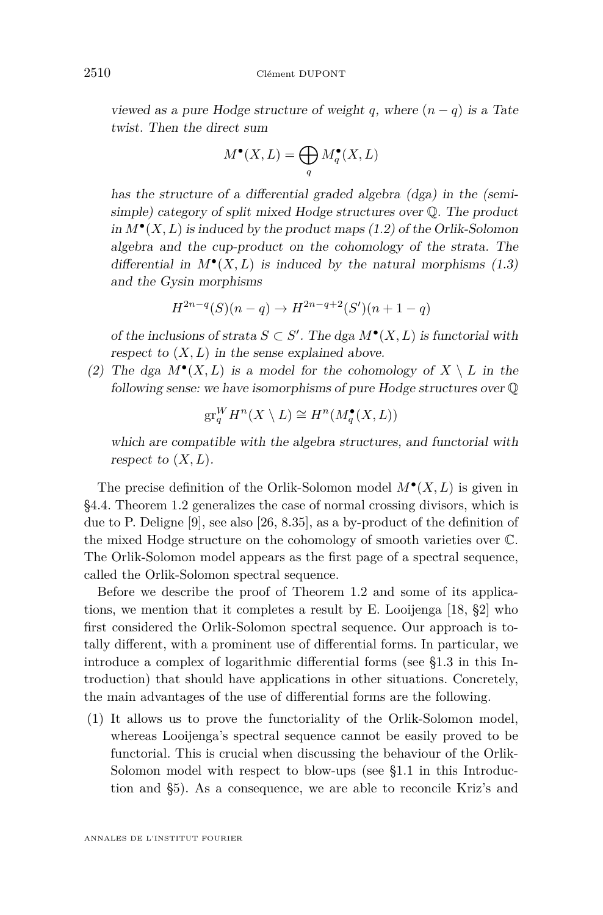viewed as a pure Hodge structure of weight *q*, where  $(n - q)$  is a Tate twist. Then the direct sum

$$
M^{\bullet}(X, L) = \bigoplus_{q} M^{\bullet}_{q}(X, L)
$$

has the structure of a differential graded algebra (dga) in the (semisimple) category of split mixed Hodge structures over Q. The product in  $M^{\bullet}(X, L)$  is induced by the product maps  $(1.2)$  of the Orlik-Solomon algebra and the cup-product on the cohomology of the strata. The differential in  $M^{\bullet}(X, L)$  is induced by the natural morphisms  $(1.3)$ and the Gysin morphisms

$$
H^{2n-q}(S)(n-q) \to H^{2n-q+2}(S')(n+1-q)
$$

of the inclusions of strata  $S \subset S'$ . The dga  $M^{\bullet}(X, L)$  is functorial with respect to  $(X, L)$  in the sense explained above.

(2) The dga  $M^{\bullet}(X, L)$  is a model for the cohomology of  $X \setminus L$  in the following sense: we have isomorphisms of pure Hodge structures over Q

$$
\operatorname{gr}_q^WH^n(X \setminus L) \cong H^n(M_q^\bullet(X, L))
$$

which are compatible with the algebra structures, and functorial with respect to  $(X, L)$ .

The precise definition of the Orlik-Solomon model  $M^{\bullet}(X, L)$  is given in [§4.4.](#page-27-0) Theorem [1.2](#page-3-0) generalizes the case of normal crossing divisors, which is due to P. Deligne [\[9\]](#page-38-0), see also [\[26,](#page-38-0) 8.35], as a by-product of the definition of the mixed Hodge structure on the cohomology of smooth varieties over C. The Orlik-Solomon model appears as the first page of a spectral sequence, called the Orlik-Solomon spectral sequence.

Before we describe the proof of Theorem [1.2](#page-3-0) and some of its applications, we mention that it completes a result by E. Looijenga [\[18,](#page-38-0) §2] who first considered the Orlik-Solomon spectral sequence. Our approach is totally different, with a prominent use of differential forms. In particular, we introduce a complex of logarithmic differential forms (see [§1.3](#page-7-0) in this Introduction) that should have applications in other situations. Concretely, the main advantages of the use of differential forms are the following.

(1) It allows us to prove the functoriality of the Orlik-Solomon model, whereas Looijenga's spectral sequence cannot be easily proved to be functorial. This is crucial when discussing the behaviour of the Orlik-Solomon model with respect to blow-ups (see [§1.1](#page-5-0) in this Introduction and [§5\)](#page-30-0). As a consequence, we are able to reconcile Kriz's and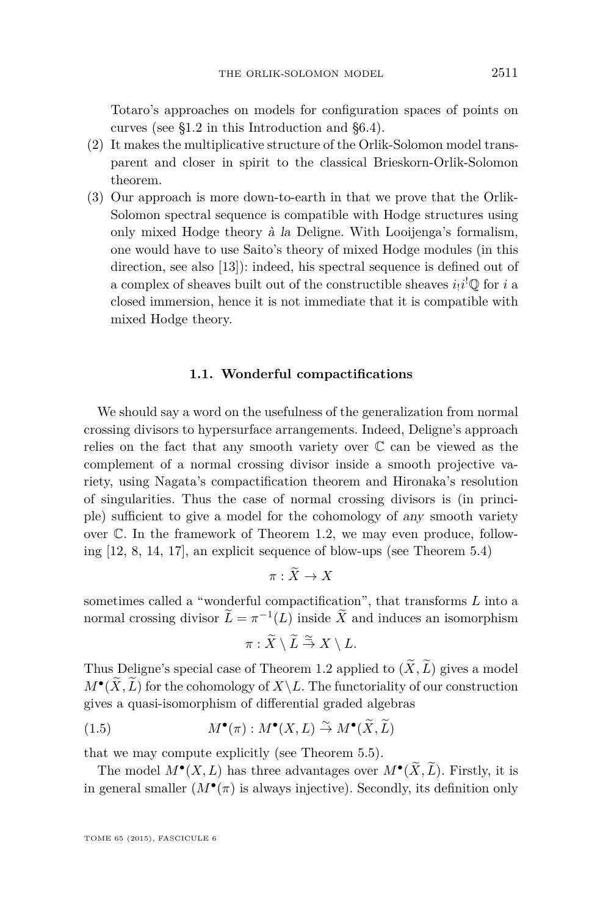<span id="page-5-0"></span>Totaro's approaches on models for configuration spaces of points on curves (see [§1.2](#page-6-0) in this Introduction and [§6.4\)](#page-36-0).

- (2) It makes the multiplicative structure of the Orlik-Solomon model transparent and closer in spirit to the classical Brieskorn-Orlik-Solomon theorem.
- (3) Our approach is more down-to-earth in that we prove that the Orlik-Solomon spectral sequence is compatible with Hodge structures using only mixed Hodge theory à la Deligne. With Looijenga's formalism, one would have to use Saito's theory of mixed Hodge modules (in this direction, see also [\[13\]](#page-38-0)): indeed, his spectral sequence is defined out of a complex of sheaves built out of the constructible sheaves  $i_!i^! \mathbb{Q}$  for *i* a closed immersion, hence it is not immediate that it is compatible with mixed Hodge theory.

# **1.1. Wonderful compactifications**

We should say a word on the usefulness of the generalization from normal crossing divisors to hypersurface arrangements. Indeed, Deligne's approach relies on the fact that any smooth variety over  $\mathbb C$  can be viewed as the complement of a normal crossing divisor inside a smooth projective variety, using Nagata's compactification theorem and Hironaka's resolution of singularities. Thus the case of normal crossing divisors is (in principle) sufficient to give a model for the cohomology of any smooth variety over C. In the framework of Theorem [1.2,](#page-3-0) we may even produce, following [\[12,](#page-38-0) [8,](#page-38-0) [14,](#page-38-0) [17\]](#page-38-0), an explicit sequence of blow-ups (see Theorem [5.4\)](#page-31-0)

$$
\pi:\widetilde{X}\to X
$$

sometimes called a "wonderful compactification", that transforms *L* into a normal crossing divisor  $\tilde{L} = \pi^{-1}(L)$  inside  $\tilde{X}$  and induces an isomorphism

$$
\pi:\widetilde{X}\setminus\widetilde{L}\stackrel{\simeq}{\to}X\setminus L.
$$

Thus Deligne's special case of Theorem [1.2](#page-3-0) applied to  $(\widetilde{X}, \widetilde{L})$  gives a model  $M^{\bullet}(\widetilde{X}, \widetilde{L})$  for the cohomology of  $X \backslash L$ . The functoriality of our construction gives a quasi-isomorphism of differential graded algebras

(1.5) 
$$
M^{\bullet}(\pi) : M^{\bullet}(X, L) \stackrel{\sim}{\to} M^{\bullet}(\widetilde{X}, \widetilde{L})
$$

that we may compute explicitly (see Theorem [5.5\)](#page-32-0).

The model  $M^{\bullet}(X, L)$  has three advantages over  $M^{\bullet}(\tilde{X}, L)$ . Firstly, it is in general smaller  $(M^{\bullet}(\pi))$  is always injective). Secondly, its definition only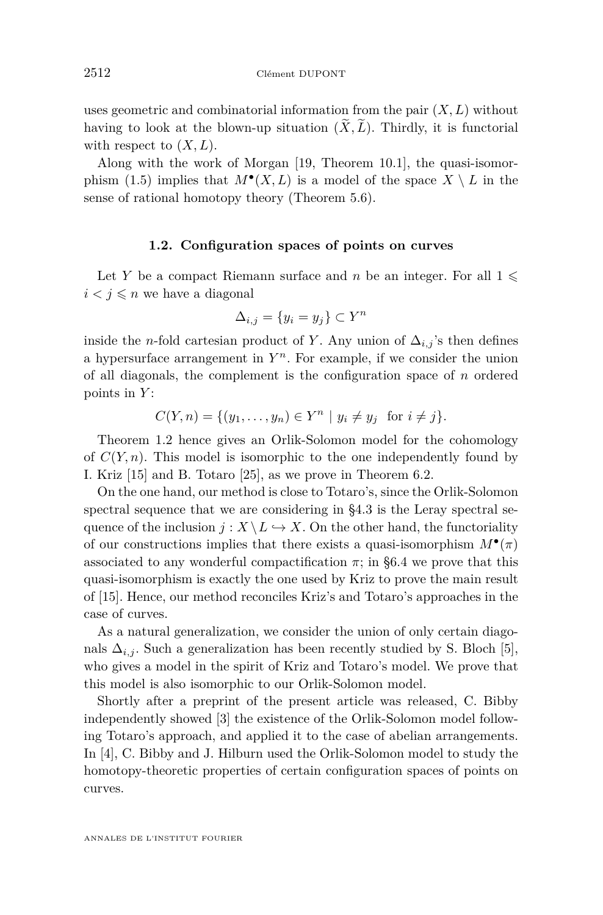<span id="page-6-0"></span>uses geometric and combinatorial information from the pair  $(X, L)$  without having to look at the blown-up situation  $(\widetilde{X}, \widetilde{L})$ . Thirdly, it is functorial with respect to  $(X, L)$ .

Along with the work of Morgan [\[19,](#page-38-0) Theorem 10.1], the quasi-isomor-phism [\(1.5\)](#page-5-0) implies that  $M^{\bullet}(X, L)$  is a model of the space  $X \setminus L$  in the sense of rational homotopy theory (Theorem [5.6\)](#page-33-0).

### **1.2. Configuration spaces of points on curves**

Let *Y* be a compact Riemann surface and *n* be an integer. For all  $1 \leq$  $i < j \leq n$  we have a diagonal

$$
\Delta_{i,j} = \{ y_i = y_j \} \subset Y^n
$$

inside the *n*-fold cartesian product of *Y*. Any union of  $\Delta_{i,j}$ 's then defines a hypersurface arrangement in  $Y<sup>n</sup>$ . For example, if we consider the union of all diagonals, the complement is the configuration space of *n* ordered points in *Y* :

$$
C(Y, n) = \{ (y_1, \dots, y_n) \in Y^n \mid y_i \neq y_j \text{ for } i \neq j \}.
$$

Theorem [1.2](#page-3-0) hence gives an Orlik-Solomon model for the cohomology of  $C(Y, n)$ . This model is isomorphic to the one independently found by I. Kriz [\[15\]](#page-38-0) and B. Totaro [\[25\]](#page-38-0), as we prove in Theorem [6.2.](#page-36-0)

On the one hand, our method is close to Totaro's, since the Orlik-Solomon spectral sequence that we are considering in [§4.3](#page-25-0) is the Leray spectral sequence of the inclusion  $j : X \backslash L \hookrightarrow X$ . On the other hand, the functoriality of our constructions implies that there exists a quasi-isomorphism  $M^{\bullet}(\pi)$ associated to any wonderful compactification  $\pi$ ; in [§6.4](#page-36-0) we prove that this quasi-isomorphism is exactly the one used by Kriz to prove the main result of [\[15\]](#page-38-0). Hence, our method reconciles Kriz's and Totaro's approaches in the case of curves.

As a natural generalization, we consider the union of only certain diagonals  $\Delta_{i,j}$ . Such a generalization has been recently studied by S. Bloch [\[5\]](#page-37-0), who gives a model in the spirit of Kriz and Totaro's model. We prove that this model is also isomorphic to our Orlik-Solomon model.

Shortly after a preprint of the present article was released, C. Bibby independently showed [\[3\]](#page-37-0) the existence of the Orlik-Solomon model following Totaro's approach, and applied it to the case of abelian arrangements. In [\[4\]](#page-37-0), C. Bibby and J. Hilburn used the Orlik-Solomon model to study the homotopy-theoretic properties of certain configuration spaces of points on curves.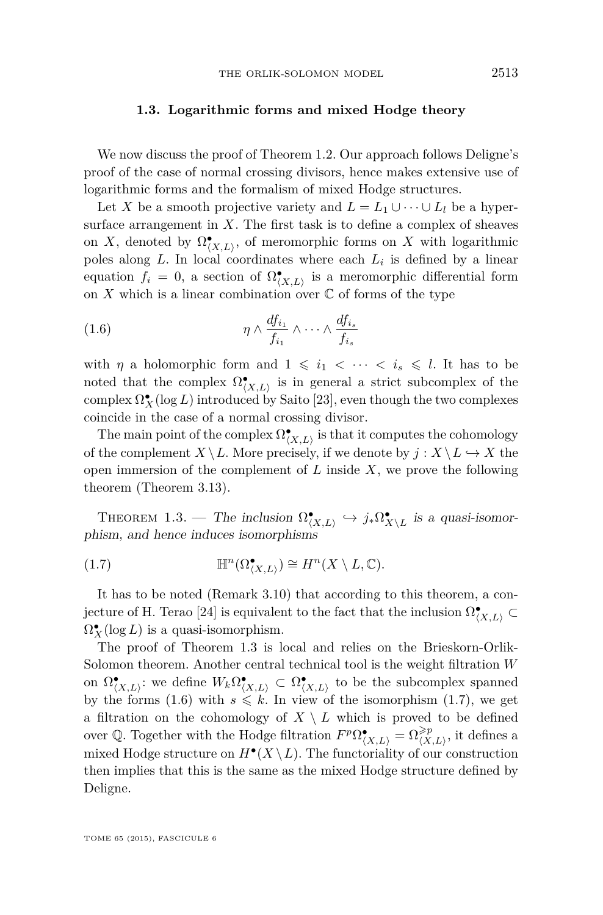#### **1.3. Logarithmic forms and mixed Hodge theory**

<span id="page-7-0"></span>We now discuss the proof of Theorem [1.2.](#page-3-0) Our approach follows Deligne's proof of the case of normal crossing divisors, hence makes extensive use of logarithmic forms and the formalism of mixed Hodge structures.

Let *X* be a smooth projective variety and  $L = L_1 \cup \cdots \cup L_l$  be a hypersurface arrangement in  $X$ . The first task is to define a complex of sheaves on *X*, denoted by  $\Omega^{\bullet}_{\langle X,L \rangle}$ , of meromorphic forms on *X* with logarithmic poles along *L*. In local coordinates where each *L<sup>i</sup>* is defined by a linear equation  $f_i = 0$ , a section of  $\Omega^{\bullet}_{\langle X,L \rangle}$  is a meromorphic differential form on  $X$  which is a linear combination over  $\mathbb C$  of forms of the type

(1.6) 
$$
\eta \wedge \frac{df_{i_1}}{f_{i_1}} \wedge \cdots \wedge \frac{df_{i_s}}{f_{i_s}}
$$

with *η* a holomorphic form and  $1 \leq i_1 < \cdots < i_s \leq l$ . It has to be noted that the complex  $\Omega^{\bullet}_{\langle X,L\rangle}$  is in general a strict subcomplex of the  $\operatorname{complex} \Omega_X^{\bullet}(\log L)$  introduced by Saito [\[23\]](#page-38-0), even though the two complexes coincide in the case of a normal crossing divisor.

The main point of the complex  $\Omega^\bullet_{\langle X,L\rangle}$  is that it computes the cohomology of the complement  $X \setminus L$ . More precisely, if we denote by  $j : X \setminus L \hookrightarrow X$  the open immersion of the complement of *L* inside *X*, we prove the following theorem (Theorem [3.13\)](#page-21-0).

THEOREM 1.3. — The inclusion  $\Omega^{\bullet}_{(X,L)} \hookrightarrow j_* \Omega^{\bullet}_{X \setminus L}$  is a quasi-isomorphism, and hence induces isomorphisms

(1.7) 
$$
\mathbb{H}^n(\Omega_{(X,L)}^{\bullet}) \cong H^n(X \setminus L, \mathbb{C}).
$$

It has to be noted (Remark [3.10\)](#page-19-0) that according to this theorem, a con-jecture of H. Terao [\[24\]](#page-38-0) is equivalent to the fact that the inclusion  $\Omega^{\bullet}_{\langle X,L \rangle} \subset$  $\Omega_X^{\bullet}(\log L)$  is a quasi-isomorphism.

The proof of Theorem 1.3 is local and relies on the Brieskorn-Orlik-Solomon theorem. Another central technical tool is the weight filtration *W* on  $\Omega^{\bullet}_{(X,L)}$ : we define  $W_k \Omega^{\bullet}_{(X,L)} \subset \Omega^{\bullet}_{(X,L)}$  to be the subcomplex spanned by the forms (1.6) with  $s \leq k$ . In view of the isomorphism (1.7), we get a filtration on the cohomology of  $X \setminus L$  which is proved to be defined over Q. Together with the Hodge filtration  $F^p \Omega_{(X,L)}^{\bullet} = \Omega_{(X,L)}^{\geq p}$ , it defines a mixed Hodge structure on  $H^{\bullet}(X \setminus L)$ . The functoriality of our construction then implies that this is the same as the mixed Hodge structure defined by Deligne.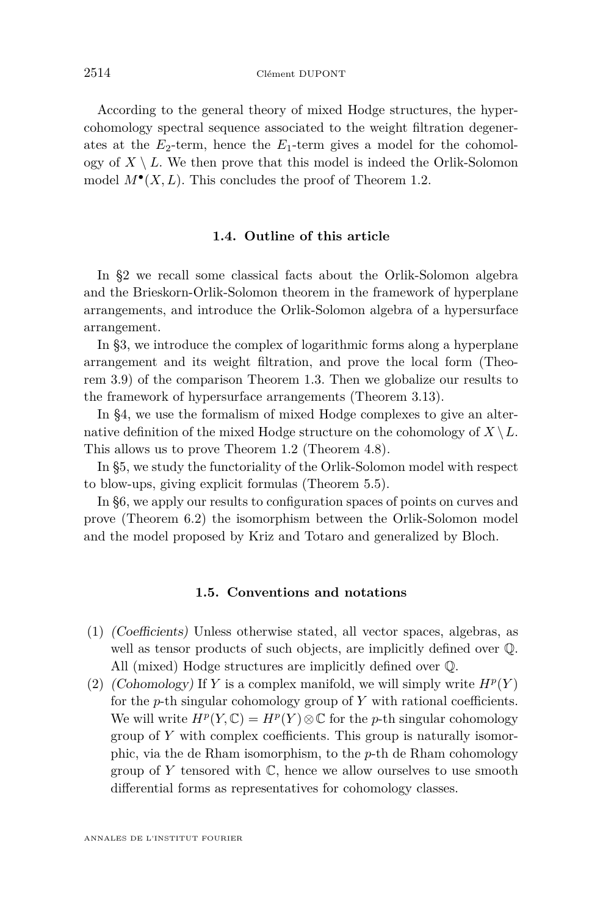According to the general theory of mixed Hodge structures, the hypercohomology spectral sequence associated to the weight filtration degenerates at the  $E_2$ -term, hence the  $E_1$ -term gives a model for the cohomology of  $X \setminus L$ . We then prove that this model is indeed the Orlik-Solomon model  $M^{\bullet}(X, L)$ . This concludes the proof of Theorem [1.2.](#page-3-0)

# **1.4. Outline of this article**

In §2 we recall some classical facts about the Orlik-Solomon algebra and the Brieskorn-Orlik-Solomon theorem in the framework of hyperplane arrangements, and introduce the Orlik-Solomon algebra of a hypersurface arrangement.

In §3, we introduce the complex of logarithmic forms along a hyperplane arrangement and its weight filtration, and prove the local form (Theorem [3.9\)](#page-19-0) of the comparison Theorem [1.3.](#page-7-0) Then we globalize our results to the framework of hypersurface arrangements (Theorem [3.13\)](#page-21-0).

In §4, we use the formalism of mixed Hodge complexes to give an alternative definition of the mixed Hodge structure on the cohomology of  $X \setminus L$ . This allows us to prove Theorem [1.2](#page-3-0) (Theorem [4.8\)](#page-28-0).

In §5, we study the functoriality of the Orlik-Solomon model with respect to blow-ups, giving explicit formulas (Theorem [5.5\)](#page-32-0).

In §6, we apply our results to configuration spaces of points on curves and prove (Theorem [6.2\)](#page-36-0) the isomorphism between the Orlik-Solomon model and the model proposed by Kriz and Totaro and generalized by Bloch.

# **1.5. Conventions and notations**

- (1) (Coefficients) Unless otherwise stated, all vector spaces, algebras, as well as tensor products of such objects, are implicitly defined over Q. All (mixed) Hodge structures are implicitly defined over Q.
- (2) (Cohomology) If *Y* is a complex manifold, we will simply write  $H^p(Y)$ for the *p*-th singular cohomology group of *Y* with rational coefficients. We will write  $H^p(Y, \mathbb{C}) = H^p(Y) \otimes \mathbb{C}$  for the *p*-th singular cohomology group of *Y* with complex coefficients. This group is naturally isomorphic, via the de Rham isomorphism, to the *p*-th de Rham cohomology group of *Y* tensored with C, hence we allow ourselves to use smooth differential forms as representatives for cohomology classes.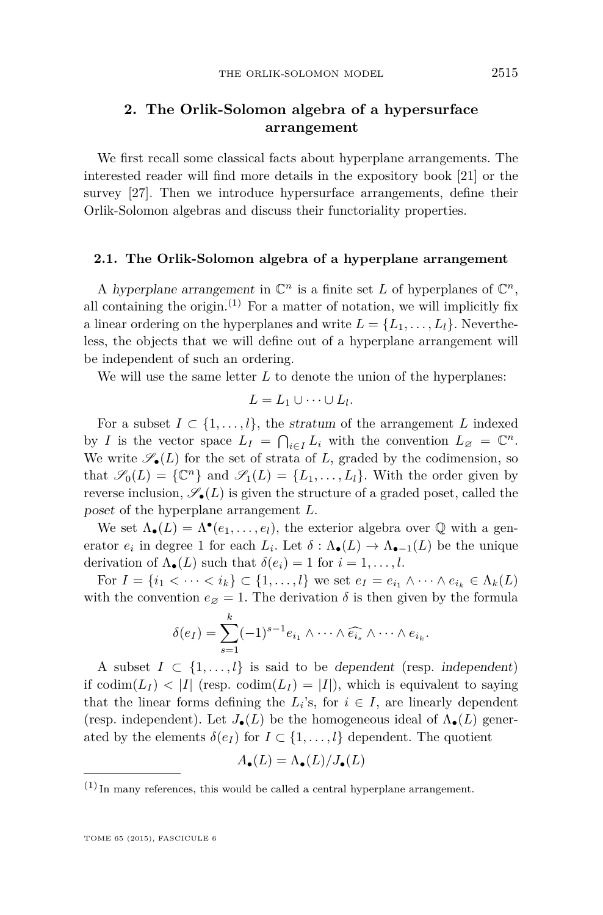# **2. The Orlik-Solomon algebra of a hypersurface arrangement**

We first recall some classical facts about hyperplane arrangements. The interested reader will find more details in the expository book [\[21\]](#page-38-0) or the survey [\[27\]](#page-38-0). Then we introduce hypersurface arrangements, define their Orlik-Solomon algebras and discuss their functoriality properties.

# **2.1. The Orlik-Solomon algebra of a hyperplane arrangement**

A hyperplane arrangement in  $\mathbb{C}^n$  is a finite set *L* of hyperplanes of  $\mathbb{C}^n$ , all containing the origin.<sup>(1)</sup> For a matter of notation, we will implicitly fix a linear ordering on the hyperplanes and write  $L = \{L_1, \ldots, L_l\}$ . Nevertheless, the objects that we will define out of a hyperplane arrangement will be independent of such an ordering.

We will use the same letter *L* to denote the union of the hyperplanes:

$$
L = L_1 \cup \cdots \cup L_l.
$$

For a subset  $I \subset \{1, \ldots, l\}$ , the stratum of the arrangement L indexed by *I* is the vector space  $L_I = \bigcap_{i \in I} L_i$  with the convention  $L_{\varnothing} = \mathbb{C}^n$ . We write  $\mathscr{S}_{\bullet}(L)$  for the set of strata of *L*, graded by the codimension, so that  $\mathscr{S}_0(L) = \{ \mathbb{C}^n \}$  and  $\mathscr{S}_1(L) = \{ L_1, \ldots, L_l \}$ . With the order given by reverse inclusion,  $\mathscr{S}_{\bullet}(L)$  is given the structure of a graded poset, called the poset of the hyperplane arrangement *L*.

We set  $\Lambda_{\bullet}(L) = \Lambda^{\bullet}(e_1, \ldots, e_l)$ , the exterior algebra over  $\mathbb Q$  with a generator  $e_i$  in degree 1 for each  $L_i$ . Let  $\delta: \Lambda_{\bullet}(L) \to \Lambda_{\bullet-1}(L)$  be the unique derivation of  $\Lambda_{\bullet}(L)$  such that  $\delta(e_i) = 1$  for  $i = 1, \ldots, l$ .

For  $I = \{i_1 < \cdots < i_k\} \subset \{1, \ldots, l\}$  we set  $e_I = e_{i_1} \wedge \cdots \wedge e_{i_k} \in \Lambda_k(L)$ with the convention  $e_{\emptyset} = 1$ . The derivation  $\delta$  is then given by the formula

$$
\delta(e_I) = \sum_{s=1}^k (-1)^{s-1} e_{i_1} \wedge \cdots \wedge \widehat{e_{i_s}} \wedge \cdots \wedge e_{i_k}.
$$

A subset  $I \subset \{1, \ldots, l\}$  is said to be dependent (resp. independent) if  $\text{codim}(L_I) < |I|$  (resp.  $\text{codim}(L_I) = |I|$ ), which is equivalent to saying that the linear forms defining the  $L_i$ 's, for  $i \in I$ , are linearly dependent (resp. independent). Let  $J_{\bullet}(L)$  be the homogeneous ideal of  $\Lambda_{\bullet}(L)$  generated by the elements  $\delta(e_I)$  for  $I \subset \{1, \ldots, l\}$  dependent. The quotient

$$
A_{\bullet}(L) = \Lambda_{\bullet}(L)/J_{\bullet}(L)
$$

 $(1)$  In many references, this would be called a central hyperplane arrangement.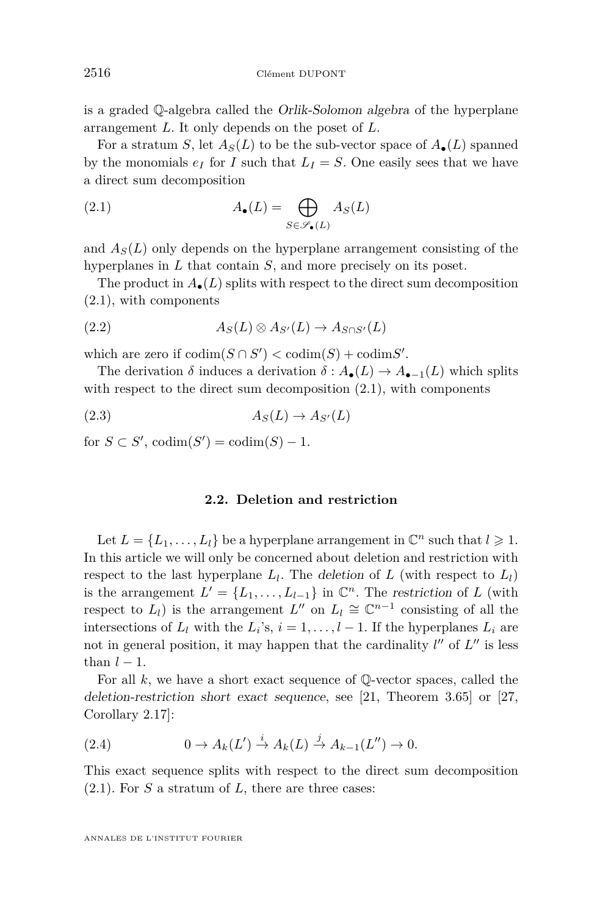<span id="page-10-0"></span>is a graded Q-algebra called the Orlik-Solomon algebra of the hyperplane arrangement *L*. It only depends on the poset of *L*.

For a stratum *S*, let  $A_S(L)$  to be the sub-vector space of  $A_{\bullet}(L)$  spanned by the monomials  $e_I$  for *I* such that  $L_I = S$ . One easily sees that we have a direct sum decomposition

(2.1) 
$$
A_{\bullet}(L) = \bigoplus_{S \in \mathscr{S}_{\bullet}(L)} A_{S}(L)
$$

and  $A_S(L)$  only depends on the hyperplane arrangement consisting of the hyperplanes in *L* that contain *S*, and more precisely on its poset.

The product in  $A_{\bullet}(L)$  splits with respect to the direct sum decomposition (2.1), with components

(2.2) 
$$
A_S(L) \otimes A_{S'}(L) \to A_{S \cap S'}(L)
$$

which are zero if  $\text{codim}(S \cap S') < \text{codim}(S) + \text{codim}S'$ .

The derivation  $\delta$  induces a derivation  $\delta: A_{\bullet}(L) \to A_{\bullet-1}(L)$  which splits with respect to the direct sum decomposition  $(2.1)$ , with components

$$
(2.3) \t\t AS(L) \to AS'(L)
$$

for  $S \subset S'$ ,  $\text{codim}(S') = \text{codim}(S) - 1$ .

# **2.2. Deletion and restriction**

Let  $L = \{L_1, \ldots, L_l\}$  be a hyperplane arrangement in  $\mathbb{C}^n$  such that  $l \geqslant 1$ . In this article we will only be concerned about deletion and restriction with respect to the last hyperplane  $L_l$ . The deletion of  $L$  (with respect to  $L_l$ ) is the arrangement  $L' = \{L_1, \ldots, L_{l-1}\}$  in  $\mathbb{C}^n$ . The restriction of *L* (with respect to  $L_l$ ) is the arrangement  $L''$  on  $L_l \cong \mathbb{C}^{n-1}$  consisting of all the intersections of  $L_l$  with the  $L_i$ 's,  $i = 1, \ldots, l - 1$ . If the hyperplanes  $L_i$  are not in general position, it may happen that the cardinality  $l''$  of  $L''$  is less than  $l-1$ .

For all *k*, we have a short exact sequence of Q-vector spaces, called the deletion-restriction short exact sequence, see [\[21,](#page-38-0) Theorem 3.65] or [\[27,](#page-38-0) Corollary 2.17]:

(2.4) 
$$
0 \to A_k(L') \stackrel{i}{\to} A_k(L) \stackrel{j}{\to} A_{k-1}(L'') \to 0.
$$

This exact sequence splits with respect to the direct sum decomposition (2.1). For *S* a stratum of *L*, there are three cases: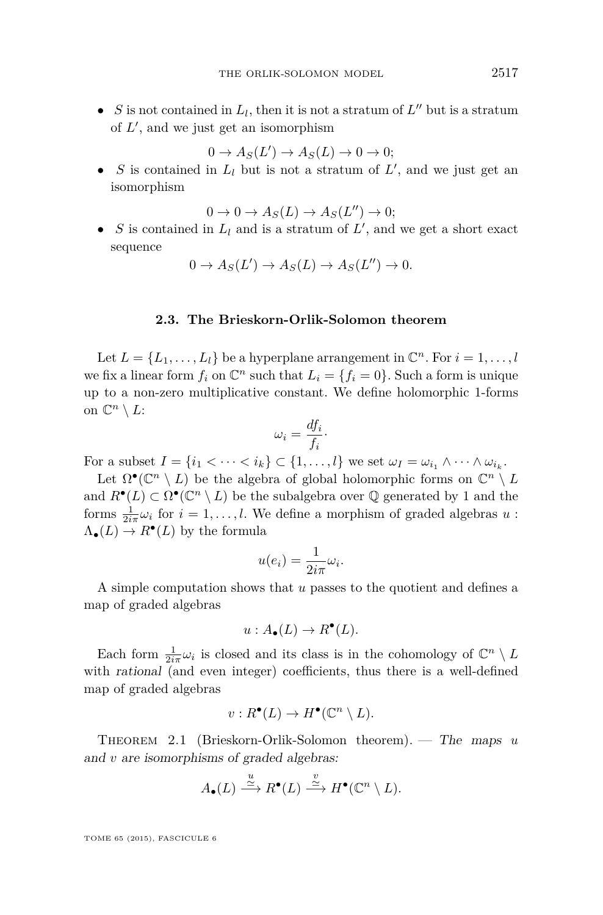<span id="page-11-0"></span>• *S* is not contained in  $L_l$ , then it is not a stratum of  $L''$  but is a stratum of  $L'$ , and we just get an isomorphism

$$
0 \to A_S(L') \to A_S(L) \to 0 \to 0;
$$

• *S* is contained in  $L_l$  but is not a stratum of  $L'$ , and we just get an isomorphism

 $0 \to 0 \to A_S(L) \to A_S(L'') \to 0;$ 

• *S* is contained in  $L_l$  and is a stratum of  $L'$ , and we get a short exact sequence

$$
0 \to A_S(L') \to A_S(L) \to A_S(L'') \to 0.
$$

#### **2.3. The Brieskorn-Orlik-Solomon theorem**

Let  $L = \{L_1, \ldots, L_l\}$  be a hyperplane arrangement in  $\mathbb{C}^n$ . For  $i = 1, \ldots, l$ we fix a linear form  $f_i$  on  $\mathbb{C}^n$  such that  $L_i = \{f_i = 0\}$ . Such a form is unique up to a non-zero multiplicative constant. We define holomorphic 1-forms on  $\mathbb{C}^n \setminus L$ :

$$
\omega_i = \frac{df_i}{f_i}.
$$

For a subset  $I = \{i_1 < \cdots < i_k\} \subset \{1, \ldots, l\}$  we set  $\omega_I = \omega_{i_1} \wedge \cdots \wedge \omega_{i_k}$ .

Let  $\Omega^{\bullet}(\mathbb{C}^n \setminus L)$  be the algebra of global holomorphic forms on  $\mathbb{C}^n \setminus L$ and  $R^{\bullet}(L) \subset \Omega^{\bullet}(\mathbb{C}^n \setminus L)$  be the subalgebra over  $\mathbb Q$  generated by 1 and the forms  $\frac{1}{2i\pi}\omega_i$  for  $i = 1, ..., l$ . We define a morphism of graded algebras  $u$ :  $\Lambda_{\bullet}(L) \to R^{\bullet}(L)$  by the formula

$$
u(e_i) = \frac{1}{2i\pi}\omega_i.
$$

A simple computation shows that *u* passes to the quotient and defines a map of graded algebras

$$
u: A_{\bullet}(L) \to R^{\bullet}(L).
$$

Each form  $\frac{1}{2i\pi}\omega_i$  is closed and its class is in the cohomology of  $\mathbb{C}^n \setminus L$ with *rational* (and even integer) coefficients, thus there is a well-defined map of graded algebras

$$
v: R^{\bullet}(L) \to H^{\bullet}(\mathbb{C}^n \setminus L).
$$

Theorem 2.1 (Brieskorn-Orlik-Solomon theorem). — The maps *u* and *v* are isomorphisms of graded algebras:

$$
A_{\bullet}(L) \stackrel{u}{\longrightarrow} R^{\bullet}(L) \stackrel{v}{\longrightarrow} H^{\bullet}(\mathbb{C}^n \setminus L).
$$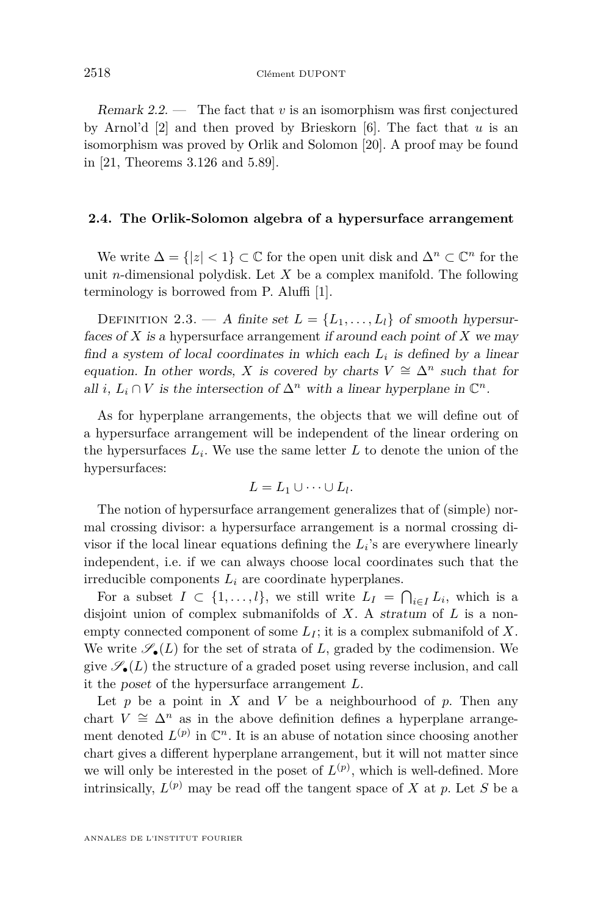Remark 2.2. — The fact that *v* is an isomorphism was first conjectured by Arnol'd [\[2\]](#page-37-0) and then proved by Brieskorn [\[6\]](#page-37-0). The fact that *u* is an isomorphism was proved by Orlik and Solomon [\[20\]](#page-38-0). A proof may be found in [\[21,](#page-38-0) Theorems 3.126 and 5.89].

## **2.4. The Orlik-Solomon algebra of a hypersurface arrangement**

We write  $\Delta = \{|z| < 1\} \subset \mathbb{C}$  for the open unit disk and  $\Delta^n \subset \mathbb{C}^n$  for the unit *n*-dimensional polydisk. Let *X* be a complex manifold. The following terminology is borrowed from P. Aluffi [\[1\]](#page-37-0).

DEFINITION 2.3. — A finite set  $L = \{L_1, \ldots, L_l\}$  of smooth hypersurfaces of *X* is a hypersurface arrangement if around each point of *X* we may find a system of local coordinates in which each  $L_i$  is defined by a linear equation. In other words, *X* is covered by charts  $V \cong \Delta^n$  such that for all *i*,  $L_i \cap V$  is the intersection of  $\Delta^n$  with a linear hyperplane in  $\mathbb{C}^n$ .

As for hyperplane arrangements, the objects that we will define out of a hypersurface arrangement will be independent of the linear ordering on the hypersurfaces  $L_i$ . We use the same letter  $L$  to denote the union of the hypersurfaces:

$$
L = L_1 \cup \cdots \cup L_l.
$$

The notion of hypersurface arrangement generalizes that of (simple) normal crossing divisor: a hypersurface arrangement is a normal crossing divisor if the local linear equations defining the *L<sup>i</sup>* 's are everywhere linearly independent, i.e. if we can always choose local coordinates such that the irreducible components *L<sup>i</sup>* are coordinate hyperplanes.

For a subset  $I \subset \{1, \ldots, l\}$ , we still write  $L_I = \bigcap_{i \in I} L_i$ , which is a disjoint union of complex submanifolds of *X*. A stratum of *L* is a nonempty connected component of some  $L_I$ ; it is a complex submanifold of  $X$ . We write  $\mathscr{S}_{\bullet}(L)$  for the set of strata of L, graded by the codimension. We give  $\mathscr{S}_{\bullet}(L)$  the structure of a graded poset using reverse inclusion, and call it the poset of the hypersurface arrangement *L*.

Let  $p$  be a point in  $X$  and  $V$  be a neighbourhood of  $p$ . Then any chart  $V \cong \Delta^n$  as in the above definition defines a hyperplane arrangement denoted  $L^{(p)}$  in  $\mathbb{C}^n$ . It is an abuse of notation since choosing another chart gives a different hyperplane arrangement, but it will not matter since we will only be interested in the poset of  $L^{(p)}$ , which is well-defined. More intrinsically,  $L^{(p)}$  may be read off the tangent space of *X* at *p*. Let *S* be a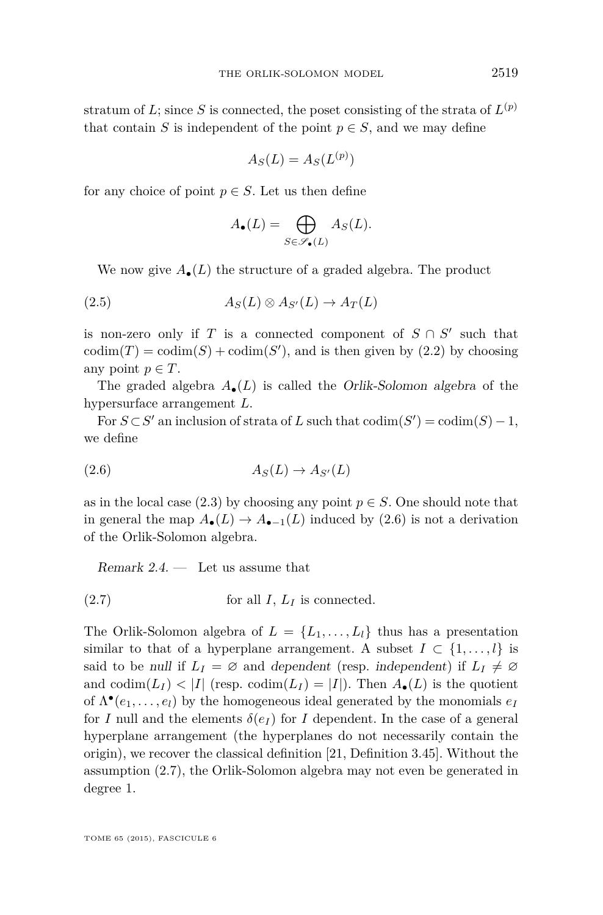<span id="page-13-0"></span>stratum of *L*; since *S* is connected, the poset consisting of the strata of  $L^{(p)}$ that contain *S* is independent of the point  $p \in S$ , and we may define

$$
A_S(L) = A_S(L^{(p)})
$$

for any choice of point  $p \in S$ . Let us then define

$$
A_{\bullet}(L) = \bigoplus_{S \in \mathscr{S}_{\bullet}(L)} A_{S}(L).
$$

We now give  $A_{\bullet}(L)$  the structure of a graded algebra. The product

(2.5) 
$$
A_S(L) \otimes A_{S'}(L) \to A_T(L)
$$

is non-zero only if *T* is a connected component of  $S \cap S'$  such that  $\text{codim}(T) = \text{codim}(S) + \text{codim}(S')$ , and is then given by  $(2.2)$  by choosing any point  $p \in T$ .

The graded algebra  $A_{\bullet}(L)$  is called the *Orlik-Solomon algebra* of the hypersurface arrangement *L*.

For  $S \subset S'$  an inclusion of strata of *L* such that  $\text{codim}(S') = \text{codim}(S) - 1$ , we define

$$
(2.6) \t\t AS'(L) \to AS'(L)
$$

as in the local case [\(2.3\)](#page-10-0) by choosing any point  $p \in S$ . One should note that in general the map  $A_{\bullet}(L) \to A_{\bullet-1}(L)$  induced by (2.6) is not a derivation of the Orlik-Solomon algebra.

Remark  $2.4.$  — Let us assume that

 $(2.7)$  for all *I*,  $L_I$  is connected.

The Orlik-Solomon algebra of  $L = \{L_1, \ldots, L_l\}$  thus has a presentation similar to that of a hyperplane arrangement. A subset  $I \subset \{1, \ldots, l\}$  is said to be null if  $L_I = \emptyset$  and dependent (resp. independent) if  $L_I \neq \emptyset$ and  $\text{codim}(L_I) < |I|$  (resp.  $\text{codim}(L_I) = |I|$ ). Then  $A_{\bullet}(L)$  is the quotient of  $\Lambda^{\bullet}(e_1, \ldots, e_l)$  by the homogeneous ideal generated by the monomials  $e_I$ for *I* null and the elements  $\delta(e_I)$  for *I* dependent. In the case of a general hyperplane arrangement (the hyperplanes do not necessarily contain the origin), we recover the classical definition [\[21,](#page-38-0) Definition 3.45]. Without the assumption (2.7), the Orlik-Solomon algebra may not even be generated in degree 1.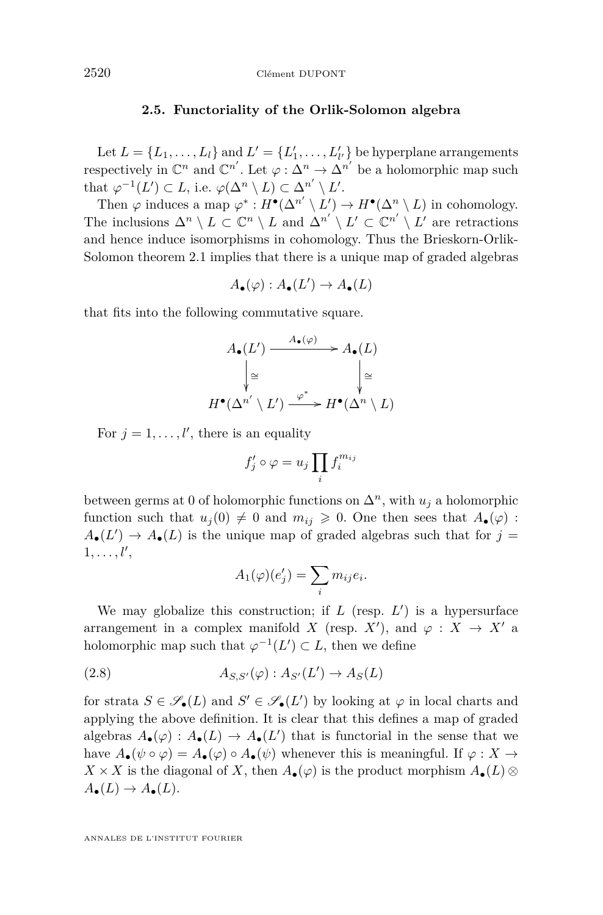# **2.5. Functoriality of the Orlik-Solomon algebra**

<span id="page-14-0"></span>Let  $L = \{L_1, \ldots, L_l\}$  and  $L' = \{L'_1, \ldots, L'_{l'}\}$  be hyperplane arrangements respectively in  $\mathbb{C}^n$  and  $\mathbb{C}^{n'}$ . Let  $\varphi : \Delta^n \to \Delta^{n'}$  be a holomorphic map such that  $\varphi^{-1}(L') \subset L$ , i.e.  $\varphi(\Delta^n \setminus L) \subset \Delta^{n'} \setminus L'$ .

Then  $\varphi$  induces a map  $\varphi^* : H^{\bullet}(\Delta^{n'} \setminus L') \to H^{\bullet}(\Delta^n \setminus L)$  in cohomology. The inclusions  $\Delta^n \setminus L \subset \mathbb{C}^n \setminus L$  and  $\Delta^{n'} \setminus L' \subset \mathbb{C}^{n'} \setminus L'$  are retractions and hence induce isomorphisms in cohomology. Thus the Brieskorn-Orlik-Solomon theorem [2.1](#page-11-0) implies that there is a unique map of graded algebras

$$
A_{\bullet}(\varphi):A_{\bullet}(L')\to A_{\bullet}(L)
$$

that fits into the following commutative square.

$$
A_{\bullet}(L') \xrightarrow{A_{\bullet}(\varphi)} A_{\bullet}(L)
$$

$$
\downarrow \cong \qquad \qquad \downarrow \cong
$$

$$
H^{\bullet}(\Delta^{n'} \setminus L') \xrightarrow{\varphi^*} H^{\bullet}(\Delta^n \setminus L)
$$

For  $j = 1, \ldots, l'$ , there is an equality

$$
f'_j \circ \varphi = u_j \prod_i f_i^{m_{ij}}
$$

between germs at 0 of holomorphic functions on  $\Delta^n$ , with  $u_j$  a holomorphic function such that  $u_j(0) \neq 0$  and  $m_{ij} \geq 0$ . One then sees that  $A_{\bullet}(\varphi)$ :  $A_{\bullet}(L') \to A_{\bullet}(L)$  is the unique map of graded algebras such that for  $j =$  $1, \ldots, l'$ ,

$$
A_1(\varphi)(e'_j) = \sum_i m_{ij} e_i.
$$

We may globalize this construction; if  $L$  (resp.  $L'$ ) is a hypersurface arrangement in a complex manifold *X* (resp. *X'*), and  $\varphi : X \to X'$  a holomorphic map such that  $\varphi^{-1}(L') \subset L$ , then we define

(2.8) 
$$
A_{S,S'}(\varphi): A_{S'}(L') \to A_S(L)
$$

for strata  $S \in \mathscr{S}_{\bullet}(L)$  and  $S' \in \mathscr{S}_{\bullet}(L')$  by looking at  $\varphi$  in local charts and applying the above definition. It is clear that this defines a map of graded algebras  $A_{\bullet}(\varphi) : A_{\bullet}(L) \to A_{\bullet}(L')$  that is functorial in the sense that we have  $A_{\bullet}(\psi \circ \varphi) = A_{\bullet}(\varphi) \circ A_{\bullet}(\psi)$  whenever this is meaningful. If  $\varphi : X \to Y$  $X \times X$  is the diagonal of *X*, then  $A_{\bullet}(\varphi)$  is the product morphism  $A_{\bullet}(L) \otimes$  $A_{\bullet}(L) \rightarrow A_{\bullet}(L).$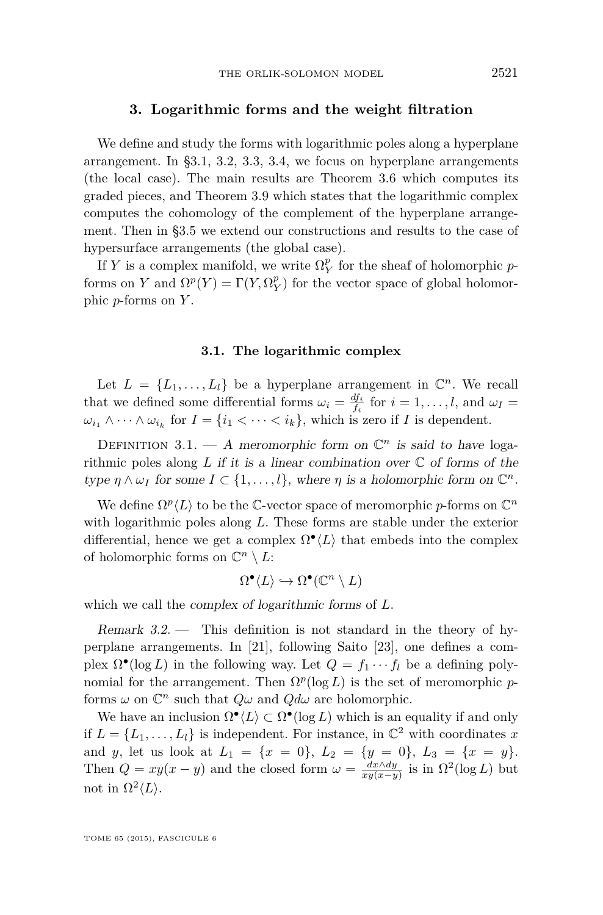# **3. Logarithmic forms and the weight filtration**

<span id="page-15-0"></span>We define and study the forms with logarithmic poles along a hyperplane arrangement. In §3.1, [3.2,](#page-16-0) [3.3,](#page-16-0) [3.4,](#page-19-0) we focus on hyperplane arrangements (the local case). The main results are Theorem [3.6](#page-17-0) which computes its graded pieces, and Theorem [3.9](#page-19-0) which states that the logarithmic complex computes the cohomology of the complement of the hyperplane arrangement. Then in [§3.5](#page-20-0) we extend our constructions and results to the case of hypersurface arrangements (the global case).

If *Y* is a complex manifold, we write  $\Omega_Y^p$  for the sheaf of holomorphic *p*forms on *Y* and  $\Omega^p(Y) = \Gamma(Y, \Omega_Y^p)$  for the vector space of global holomorphic *p*-forms on *Y* .

#### **3.1. The logarithmic complex**

Let  $L = \{L_1, \ldots, L_l\}$  be a hyperplane arrangement in  $\mathbb{C}^n$ . We recall that we defined some differential forms  $\omega_i = \frac{df_i}{f_i}$  for  $i = 1, ..., l$ , and  $\omega_I =$  $\omega_{i_1} \wedge \cdots \wedge \omega_{i_k}$  for  $I = \{i_1 < \cdots < i_k\}$ , which is zero if *I* is dependent.

DEFINITION 3.1. - A meromorphic form on  $\mathbb{C}^n$  is said to have logarithmic poles along  $L$  if it is a linear combination over  $\mathbb C$  of forms of the type  $\eta \wedge \omega_I$  for some  $I \subset \{1, \ldots, l\}$ , where  $\eta$  is a holomorphic form on  $\mathbb{C}^n$ .

We define  $\Omega^p \langle L \rangle$  to be the C-vector space of meromorphic *p*-forms on  $\mathbb{C}^n$ with logarithmic poles along *L*. These forms are stable under the exterior differential, hence we get a complex  $\Omega^{\bullet}(L)$  that embeds into the complex of holomorphic forms on  $\mathbb{C}^n \setminus L$ :

$$
\Omega^{\bullet}(L) \hookrightarrow \Omega^{\bullet}(\mathbb{C}^n \setminus L)
$$

which we call the complex of logarithmic forms of *L*.

Remark 3.2. — This definition is not standard in the theory of hyperplane arrangements. In [\[21\]](#page-38-0), following Saito [\[23\]](#page-38-0), one defines a complex  $\Omega^{\bullet}(\log L)$  in the following way. Let  $Q = f_1 \cdots f_l$  be a defining polynomial for the arrangement. Then  $\Omega^p(\log L)$  is the set of meromorphic *p*forms  $\omega$  on  $\mathbb{C}^n$  such that  $Q\omega$  and  $Qd\omega$  are holomorphic.

We have an inclusion  $\Omega^{\bullet}(L) \subset \Omega^{\bullet}(\log L)$  which is an equality if and only if  $L = \{L_1, \ldots, L_l\}$  is independent. For instance, in  $\mathbb{C}^2$  with coordinates x and *y*, let us look at  $L_1 = \{x = 0\}$ ,  $L_2 = \{y = 0\}$ ,  $L_3 = \{x = y\}$ . Then  $Q = xy(x - y)$  and the closed form  $\omega = \frac{dx \wedge dy}{xy(x-y)}$  is in  $\Omega^2(\log L)$  but not in  $\Omega^2 \langle L \rangle$ .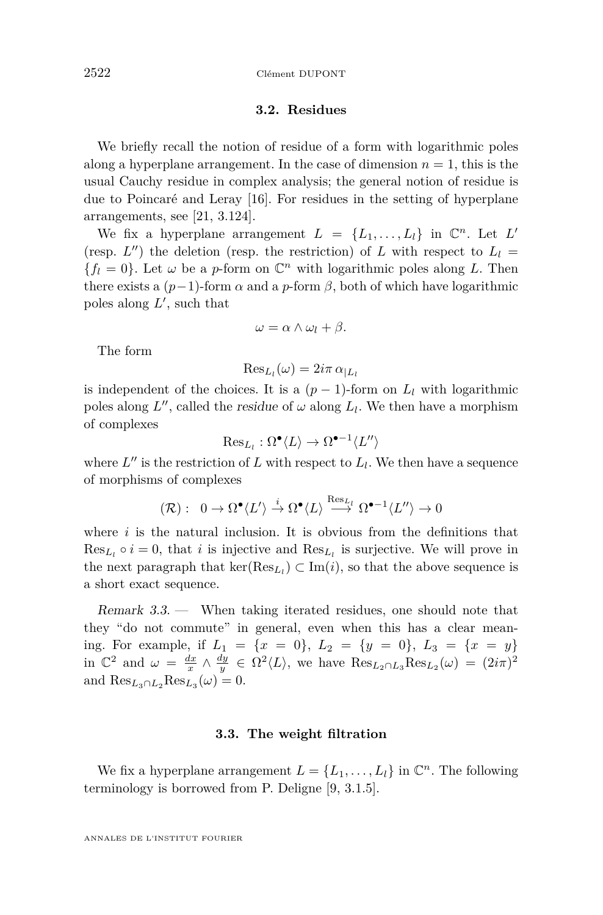# **3.2. Residues**

<span id="page-16-0"></span>We briefly recall the notion of residue of a form with logarithmic poles along a hyperplane arrangement. In the case of dimension  $n = 1$ , this is the usual Cauchy residue in complex analysis; the general notion of residue is due to Poincaré and Leray [\[16\]](#page-38-0). For residues in the setting of hyperplane arrangements, see [\[21,](#page-38-0) 3.124].

We fix a hyperplane arrangement  $L = \{L_1, \ldots, L_l\}$  in  $\mathbb{C}^n$ . Let  $L'$ (resp.  $L''$ ) the deletion (resp. the restriction) of  $L$  with respect to  $L_l =$  ${f_l = 0}$ . Let  $\omega$  be a *p*-form on  $\mathbb{C}^n$  with logarithmic poles along *L*. Then there exists a  $(p-1)$ -form  $\alpha$  and a *p*-form  $\beta$ , both of which have logarithmic poles along  $L'$ , such that

$$
\omega = \alpha \wedge \omega_l + \beta.
$$

The form

$$
\operatorname{Res}_{L_l}(\omega) = 2i\pi \alpha_{|L_l}
$$

is independent of the choices. It is a  $(p-1)$ -form on  $L_l$  with logarithmic poles along  $L''$ , called the *residue* of  $\omega$  along  $L_l$ . We then have a morphism of complexes

$$
\mathrm{Res}_{L_l} : \Omega^{\bullet} \langle L \rangle \to \Omega^{\bullet - 1} \langle L'' \rangle
$$

where  $L''$  is the restriction of  $L$  with respect to  $L_l$ . We then have a sequence of morphisms of complexes

$$
(\mathcal{R}): 0 \to \Omega^{\bullet} \langle L' \rangle \stackrel{i}{\to} \Omega^{\bullet} \langle L \rangle \stackrel{\text{Res}_{L_l}}{\longrightarrow} \Omega^{\bullet -1} \langle L'' \rangle \to 0
$$

where  $i$  is the natural inclusion. It is obvious from the definitions that  $\text{Res}_{L_l} \circ i = 0$ , that *i* is injective and  $\text{Res}_{L_l}$  is surjective. We will prove in the next paragraph that  $\ker(\text{Res}_{L_l}) \subset \text{Im}(i)$ , so that the above sequence is a short exact sequence.

Remark 3.3. — When taking iterated residues, one should note that they "do not commute" in general, even when this has a clear meaning. For example, if  $L_1 = \{x = 0\}$ ,  $L_2 = \{y = 0\}$ ,  $L_3 = \{x = y\}$ in  $\mathbb{C}^2$  and  $\omega = \frac{dx}{x} \wedge \frac{dy}{y} \in \Omega^2 \langle L \rangle$ , we have  $\text{Res}_{L_2 \cap L_3} \text{Res}_{L_2}(\omega) = (2i\pi)^2$ and  $\text{Res}_{L_3 \cap L_2} \text{Res}_{L_3}(\omega) = 0.$ 

#### **3.3. The weight filtration**

We fix a hyperplane arrangement  $L = \{L_1, \ldots, L_l\}$  in  $\mathbb{C}^n$ . The following terminology is borrowed from P. Deligne [\[9,](#page-38-0) 3.1.5].

ANNALES DE L'INSTITUT FOURIER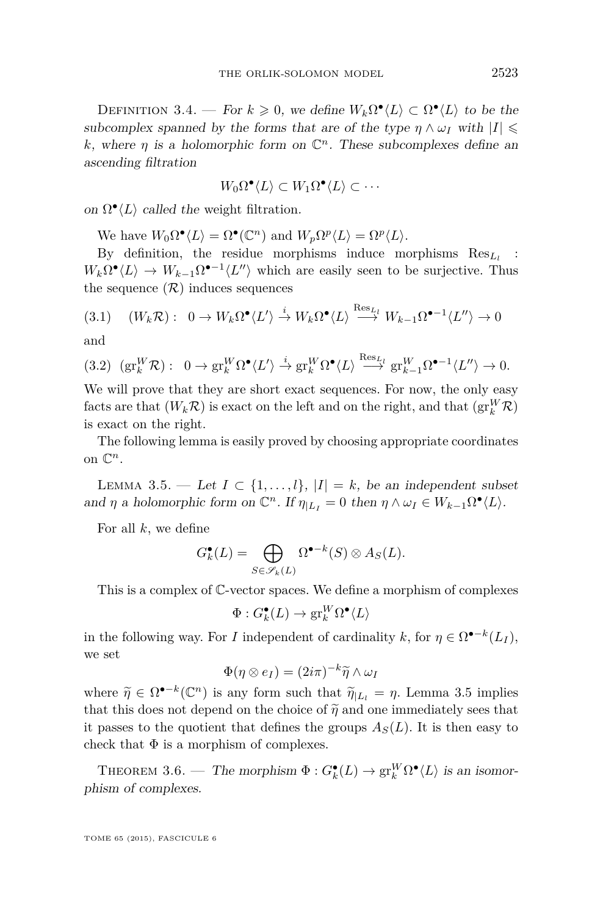<span id="page-17-0"></span>DEFINITION 3.4. — For  $k \geq 0$ , we define  $W_k \Omega^{\bullet} \langle L \rangle \subset \Omega^{\bullet} \langle L \rangle$  to be the subcomplex spanned by the forms that are of the type  $\eta \wedge \omega_I$  with  $|I| \leq$ *k*, where  $\eta$  is a holomorphic form on  $\mathbb{C}^n$ . These subcomplexes define an ascending filtration

$$
W_0\Omega^{\bullet}\langle L\rangle\subset W_1\Omega^{\bullet}\langle L\rangle\subset\cdots
$$

on  $\Omega^{\bullet}\langle L \rangle$  called the weight filtration.

We have  $W_0 \Omega^{\bullet} \langle L \rangle = \Omega^{\bullet}(\mathbb{C}^n)$  and  $W_p \Omega^p \langle L \rangle = \Omega^p \langle L \rangle$ .

By definition, the residue morphisms induce morphisms Res*<sup>L</sup><sup>l</sup>* :  $W_k \Omega^{\bullet}(L) \to W_{k-1} \Omega^{\bullet-1}(L'')$  which are easily seen to be surjective. Thus the sequence  $(\mathcal{R})$  induces sequences

$$
(3.1) \quad (W_k \mathcal{R}) : \ 0 \to W_k \Omega^{\bullet} \langle L' \rangle \stackrel{i}{\to} W_k \Omega^{\bullet} \langle L \rangle \stackrel{\text{Res}_{L_l}}{\longrightarrow} W_{k-1} \Omega^{\bullet-1} \langle L'' \rangle \to 0
$$

and

$$
(3.2) \ \left(\mathrm{gr}^W_k \mathcal{R}\right): \ 0 \to \mathrm{gr}^W_k \Omega^{\bullet} \langle L' \rangle \stackrel{i}{\to} \mathrm{gr}^W_k \Omega^{\bullet} \langle L \rangle \stackrel{\mathrm{Res}_{L_l}}{\longrightarrow} \mathrm{gr}^W_{k-1} \Omega^{\bullet-1} \langle L'' \rangle \to 0.
$$

We will prove that they are short exact sequences. For now, the only easy facts are that  $(W_k \mathcal{R})$  is exact on the left and on the right, and that  $(\text{gr}_k^W \mathcal{R})$ is exact on the right.

The following lemma is easily proved by choosing appropriate coordinates on  $\mathbb{C}^n$ .

LEMMA 3.5. — Let  $I \subset \{1, \ldots, l\}$ ,  $|I| = k$ , be an independent subset and *η* a holomorphic form on  $\mathbb{C}^n$ . If  $\eta_{|L_I} = 0$  then  $\eta \wedge \omega_I \in W_{k-1}\Omega^{\bullet}(L)$ .

For all *k*, we define

$$
G_k^{\bullet}(L) = \bigoplus_{S \in \mathscr{S}_k(L)} \Omega^{\bullet - k}(S) \otimes A_S(L).
$$

This is a complex of C-vector spaces. We define a morphism of complexes

$$
\Phi: G_k^\bullet(L) \to \operatorname{gr}^W_k\Omega^\bullet\langle L\rangle
$$

in the following way. For *I* independent of cardinality *k*, for  $\eta \in \Omega^{\bullet-k}(L_I)$ , we set

$$
\Phi(\eta\otimes e_I)=(2i\pi)^{-k}\widetilde{\eta}\wedge\omega_I
$$

where  $\widetilde{\eta} \in \Omega^{\bullet-k}(\mathbb{C}^n)$  is any form such that  $\widetilde{\eta}|_{L_l} = \eta$ . Lemma 3.5 implies that this does not depend on the choice of  $\tilde{\eta}$  and one immediately sees that it passes to the quotient that defines the groups  $A<sub>S</sub>(L)$ . It is then easy to check that  $\Phi$  is a morphism of complexes.

THEOREM 3.6. — The morphism  $\Phi: G_k^{\bullet}(L) \to \text{gr}_k^W \Omega^{\bullet}(L)$  is an isomorphism of complexes.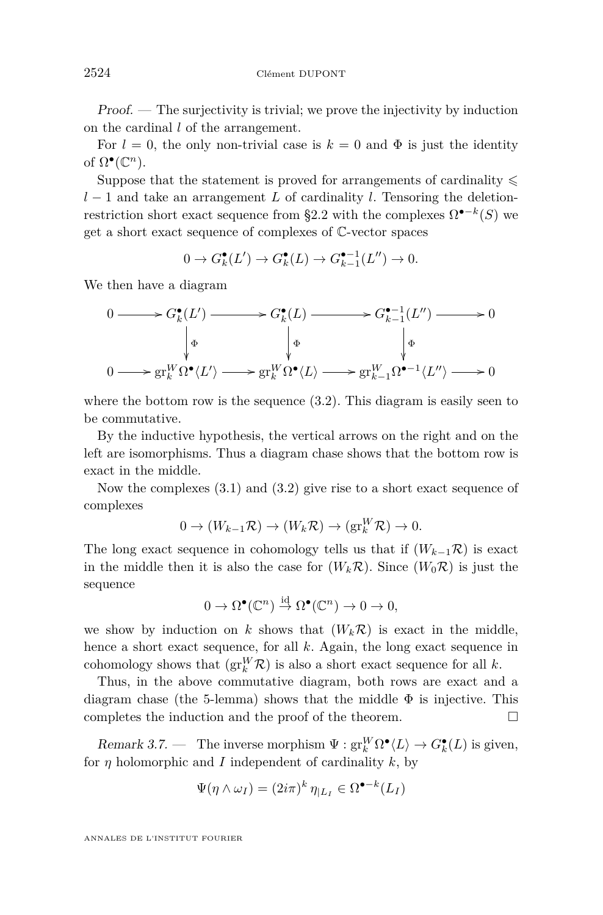<span id="page-18-0"></span>Proof. — The surjectivity is trivial; we prove the injectivity by induction on the cardinal *l* of the arrangement.

For  $l = 0$ , the only non-trivial case is  $k = 0$  and  $\Phi$  is just the identity of  $\Omega^{\bullet}(\mathbb{C}^n)$ .

Suppose that the statement is proved for arrangements of cardinality  $\leq$ *l* − 1 and take an arrangement *L* of cardinality *l*. Tensoring the deletion-restriction short exact sequence from [§2.2](#page-10-0) with the complexes  $\Omega^{\bullet-k}(S)$  we get a short exact sequence of complexes of C-vector spaces

$$
0 \to G_k^{\bullet}(L') \to G_k^{\bullet}(L) \to G_{k-1}^{\bullet-1}(L'') \to 0.
$$

We then have a diagram

$$
\begin{array}{ccc}\n0 & \longrightarrow & G_{k}^{\bullet}(L') & \longrightarrow & G_{k}^{\bullet}(L) & \longrightarrow & G_{k-1}^{\bullet-1}(L'') & \longrightarrow & 0 \\
 & \downarrow_{\Phi} & \downarrow_{\Phi} & \downarrow_{\Phi} & \downarrow_{\Phi} \\
0 & \longrightarrow & \mathrm{gr}_{k}^{W}\Omega^{\bullet}\langle L' \rangle & \longrightarrow & \mathrm{gr}_{k}^{W}\Omega^{\bullet}\langle L \rangle & \longrightarrow & \mathrm{gr}_{k-1}^{W}\Omega^{\bullet-1}\langle L'' \rangle & \longrightarrow & 0\n\end{array}
$$

where the bottom row is the sequence  $(3.2)$ . This diagram is easily seen to be commutative.

By the inductive hypothesis, the vertical arrows on the right and on the left are isomorphisms. Thus a diagram chase shows that the bottom row is exact in the middle.

Now the complexes [\(3.1\)](#page-17-0) and [\(3.2\)](#page-17-0) give rise to a short exact sequence of complexes

$$
0 \to (W_{k-1}\mathcal{R}) \to (W_k\mathcal{R}) \to (\text{gr}_k^W\mathcal{R}) \to 0.
$$

The long exact sequence in cohomology tells us that if  $(W_{k-1}, \mathcal{R})$  is exact in the middle then it is also the case for  $(W_k \mathcal{R})$ . Since  $(W_0 \mathcal{R})$  is just the sequence

$$
0 \to \Omega^{\bullet}(\mathbb{C}^n) \stackrel{\text{id}}{\to} \Omega^{\bullet}(\mathbb{C}^n) \to 0 \to 0,
$$

we show by induction on *k* shows that  $(W_k \mathcal{R})$  is exact in the middle, hence a short exact sequence, for all *k*. Again, the long exact sequence in cohomology shows that  $(\mathrm{gr}^W_k \mathcal{R})$  is also a short exact sequence for all *k*.

Thus, in the above commutative diagram, both rows are exact and a diagram chase (the 5-lemma) shows that the middle  $\Phi$  is injective. This completes the induction and the proof of the theorem.  $\Box$ 

Remark 3.7. — The inverse morphism  $\Psi$  :  $gr_k^W \Omega^{\bullet} \langle L \rangle \rightarrow G^{\bullet}_{k}(L)$  is given, for *η* holomorphic and *I* independent of cardinality *k*, by

$$
\Psi(\eta \wedge \omega_I) = (2i\pi)^k \eta_{|L_I} \in \Omega^{\bullet-k}(L_I)
$$

ANNALES DE L'INSTITUT FOURIER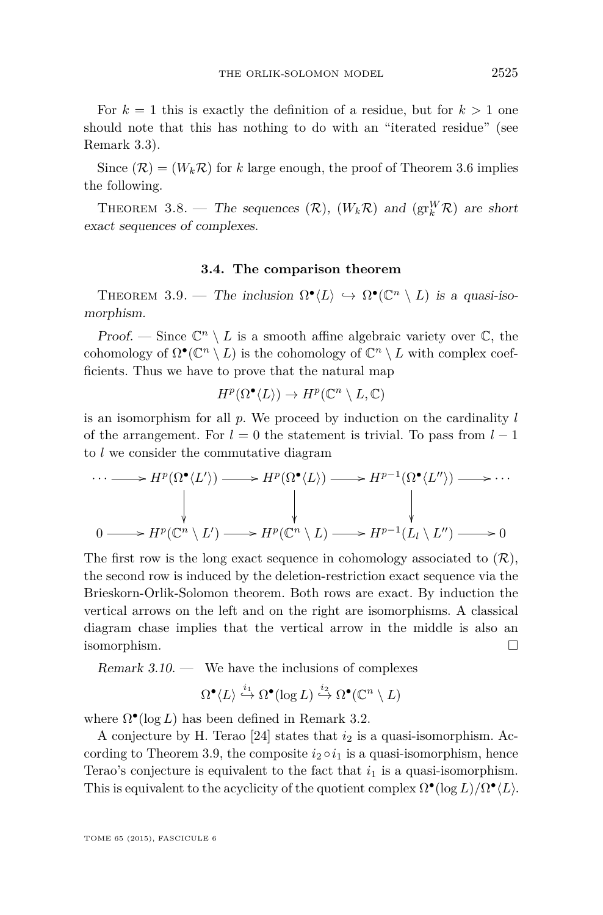<span id="page-19-0"></span>For  $k = 1$  this is exactly the definition of a residue, but for  $k > 1$  one should note that this has nothing to do with an "iterated residue" (see Remark [3.3\)](#page-16-0).

Since  $(\mathcal{R}) = (W_k \mathcal{R})$  for *k* large enough, the proof of Theorem [3.6](#page-17-0) implies the following.

THEOREM 3.8. — The sequences  $(\mathcal{R})$ ,  $(W_k \mathcal{R})$  and  $(\text{gr}_k^W \mathcal{R})$  are short exact sequences of complexes.

#### **3.4. The comparison theorem**

THEOREM 3.9. — The inclusion  $\Omega^{\bullet}(L) \hookrightarrow \Omega^{\bullet}(\mathbb{C}^n \setminus L)$  is a quasi-isomorphism.

Proof. — Since  $\mathbb{C}^n \setminus L$  is a smooth affine algebraic variety over  $\mathbb{C}$ , the cohomology of  $\Omega^{\bullet}(\mathbb{C}^n \setminus L)$  is the cohomology of  $\mathbb{C}^n \setminus L$  with complex coefficients. Thus we have to prove that the natural map

$$
H^p(\Omega^\bullet \langle L \rangle) \to H^p(\mathbb{C}^n \setminus L, \mathbb{C})
$$

is an isomorphism for all *p*. We proceed by induction on the cardinality *l* of the arrangement. For  $l = 0$  the statement is trivial. To pass from  $l - 1$ to *l* we consider the commutative diagram

$$
\cdots \longrightarrow H^p(\Omega^{\bullet}\langle L' \rangle) \longrightarrow H^p(\Omega^{\bullet}\langle L \rangle) \longrightarrow H^{p-1}(\Omega^{\bullet}\langle L'' \rangle) \longrightarrow \cdots
$$
  
\n
$$
\downarrow \qquad \qquad \downarrow \qquad \qquad \downarrow
$$
  
\n
$$
0 \longrightarrow H^p(\mathbb{C}^n \setminus L') \longrightarrow H^p(\mathbb{C}^n \setminus L) \longrightarrow H^{p-1}(L_l \setminus L'') \longrightarrow 0
$$

The first row is the long exact sequence in cohomology associated to  $(\mathcal{R})$ , the second row is induced by the deletion-restriction exact sequence via the Brieskorn-Orlik-Solomon theorem. Both rows are exact. By induction the vertical arrows on the left and on the right are isomorphisms. A classical diagram chase implies that the vertical arrow in the middle is also an isomorphism.

Remark  $3.10.$  — We have the inclusions of complexes

$$
\Omega^\bullet \langle L \rangle \stackrel{i_1}{\hookrightarrow} \Omega^\bullet(\log L) \stackrel{i_2}{\hookrightarrow} \Omega^\bullet(\mathbb{C}^n \setminus L)
$$

where  $\Omega^{\bullet}(\log L)$  has been defined in Remark [3.2.](#page-15-0)

A conjecture by H. Terao  $[24]$  states that  $i_2$  is a quasi-isomorphism. According to Theorem 3.9, the composite  $i_2 \circ i_1$  is a quasi-isomorphism, hence Terao's conjecture is equivalent to the fact that  $i_1$  is a quasi-isomorphism. This is equivalent to the acyclicity of the quotient complex  $\Omega^{\bullet}(\log L)/\Omega^{\bullet}\langle L\rangle$ .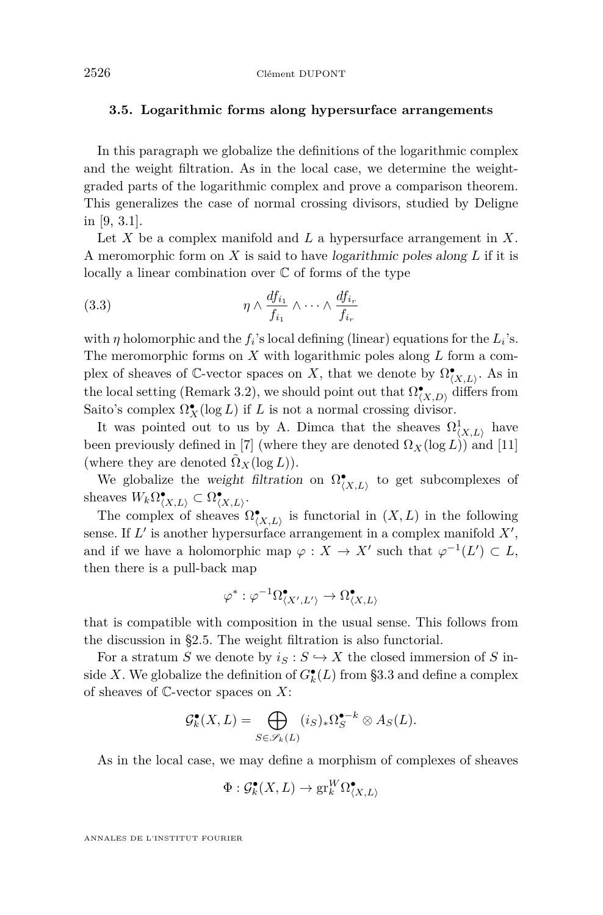### <span id="page-20-0"></span>**3.5. Logarithmic forms along hypersurface arrangements**

In this paragraph we globalize the definitions of the logarithmic complex and the weight filtration. As in the local case, we determine the weightgraded parts of the logarithmic complex and prove a comparison theorem. This generalizes the case of normal crossing divisors, studied by Deligne in [\[9,](#page-38-0) 3.1].

Let *X* be a complex manifold and *L* a hypersurface arrangement in *X*. A meromorphic form on *X* is said to have logarithmic poles along *L* if it is locally a linear combination over  $\mathbb C$  of forms of the type

(3.3) 
$$
\eta \wedge \frac{df_{i_1}}{f_{i_1}} \wedge \cdots \wedge \frac{df_{i_r}}{f_{i_r}}
$$

with  $\eta$  holomorphic and the  $f_i$ 's local defining (linear) equations for the  $L_i$ 's. The meromorphic forms on *X* with logarithmic poles along *L* form a complex of sheaves of  $\mathbb{C}$ -vector spaces on *X*, that we denote by  $\Omega^{\bullet}_{(X,L)}$ . As in the local setting (Remark [3.2\)](#page-15-0), we should point out that  $\Omega^{\bullet}_{(X,D)}$  differs from Saito's complex  $\Omega_X^{\bullet}(\log L)$  if *L* is not a normal crossing divisor.

It was pointed out to us by A. Dimca that the sheaves  $\Omega^1_{\langle X,L\rangle}$  have been previously defined in [\[7\]](#page-38-0) (where they are denoted  $\Omega_X(\log L)$ ) and [\[11\]](#page-38-0) (where they are denoted  $\tilde{\Omega}_X(\log L)$ ).

We globalize the weight filtration on  $\Omega^{\bullet}_{(X,L)}$  to get subcomplexes of sheaves  $W_k \Omega_{\langle X,L \rangle}^{\bullet} \subset \Omega_{\langle X,L \rangle}^{\bullet}$ .

The complex of sheaves  $\Omega_{(X,L)}^{\bullet}$  is functorial in  $(X, L)$  in the following sense. If  $L'$  is another hypersurface arrangement in a complex manifold  $X'$ , and if we have a holomorphic map  $\varphi : X \to X'$  such that  $\varphi^{-1}(L') \subset L$ , then there is a pull-back map

$$
\varphi^* : \varphi^{-1} \Omega^{\bullet}_{\langle X',L' \rangle} \to \Omega^{\bullet}_{\langle X,L \rangle}
$$

that is compatible with composition in the usual sense. This follows from the discussion in [§2.5.](#page-14-0) The weight filtration is also functorial.

For a stratum *S* we denote by  $i_S : S \hookrightarrow X$  the closed immersion of *S* inside *X*. We globalize the definition of  $G_k^{\bullet}(L)$  from [§3.3](#page-16-0) and define a complex of sheaves of C-vector spaces on *X*:

$$
\mathcal{G}_{k}^{\bullet}(X, L) = \bigoplus_{S \in \mathscr{S}_{k}(L)} (i_{S})_{*} \Omega_{S}^{\bullet - k} \otimes A_{S}(L).
$$

As in the local case, we may define a morphism of complexes of sheaves

$$
\Phi: \mathcal{G}_{k}^{\bullet}(X, L) \to \operatorname{gr}^W_k \Omega_{\langle X, L \rangle}^{\bullet}
$$

ANNALES DE L'INSTITUT FOURIER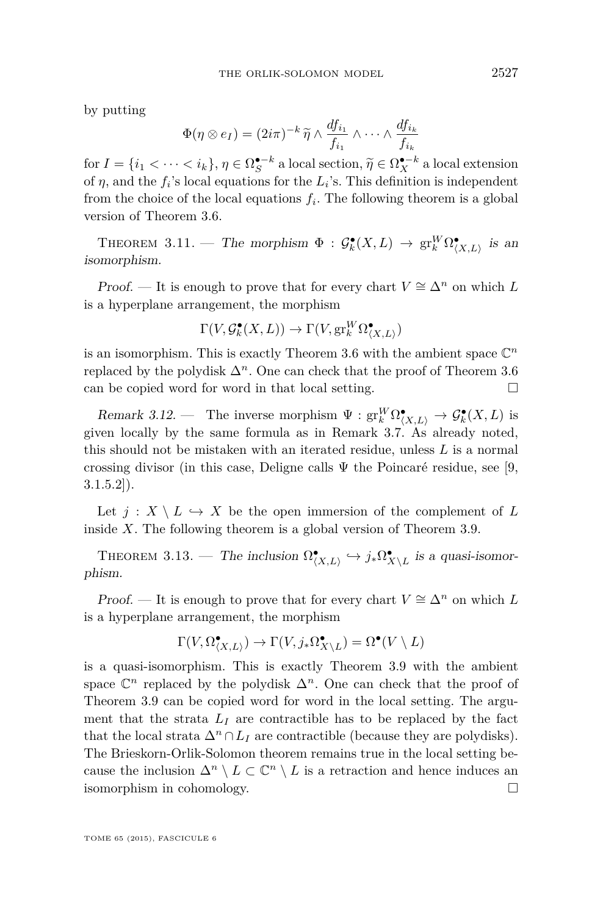<span id="page-21-0"></span>by putting

$$
\Phi(\eta \otimes e_I) = (2i\pi)^{-k} \widetilde{\eta} \wedge \frac{df_{i_1}}{f_{i_1}} \wedge \cdots \wedge \frac{df_{i_k}}{f_{i_k}}
$$

for  $I = \{i_1 < \cdots < i_k\}, \eta \in \Omega^{•-k}_{\mathcal{S}}$  a local section,  $\widetilde{\eta} \in \Omega^{•-k}_{\mathcal{S}}$  a local extension<br>of *n*, and the f 's local exuations for the L's. This definition is independent of  $\eta$ , and the  $f_i$ 's local equations for the  $L_i$ 's. This definition is independent from the choice of the local equations  $f_i$ . The following theorem is a global version of Theorem [3.6.](#page-17-0)

THEOREM 3.11. — The morphism  $\Phi : \mathcal{G}_k^{\bullet}(X, L) \to \text{gr}_k^W \Omega_{(X, L)}^{\bullet}$  is an isomorphism.

Proof. — It is enough to prove that for every chart  $V \cong \Delta^n$  on which L is a hyperplane arrangement, the morphism

$$
\Gamma(V, \mathcal{G}_k^{\bullet}(X, L)) \to \Gamma(V, \operatorname{gr}_k^W \Omega_{\langle X, L \rangle}^{\bullet})
$$

is an isomorphism. This is exactly Theorem [3.6](#page-17-0) with the ambient space  $\mathbb{C}^n$ replaced by the polydisk  $\Delta^n$ . One can check that the proof of Theorem [3.6](#page-17-0) can be copied word for word in that local setting.  $\Box$ 

Remark 3.12. — The inverse morphism  $\Psi : \text{gr}_k^W \Omega_{\langle X,L \rangle}^{\bullet} \to \mathcal{G}_k^{\bullet}(X,L)$  is given locally by the same formula as in Remark [3.7.](#page-18-0) As already noted, this should not be mistaken with an iterated residue, unless *L* is a normal crossing divisor (in this case, Deligne calls  $\Psi$  the Poincaré residue, see [\[9,](#page-38-0)  $3.1.5.2$ ]).

Let  $j: X \setminus L \hookrightarrow X$  be the open immersion of the complement of L inside *X*. The following theorem is a global version of Theorem [3.9.](#page-19-0)

THEOREM 3.13. — The inclusion  $\Omega^{\bullet}_{(X,L)} \hookrightarrow j_* \Omega^{\bullet}_{X \setminus L}$  is a quasi-isomorphism.

Proof. — It is enough to prove that for every chart  $V \cong \Delta^n$  on which L is a hyperplane arrangement, the morphism

$$
\Gamma(V,\Omega_{\langle X,L\rangle}^{\bullet})\to \Gamma(V,j_*\Omega_{X\backslash L}^{\bullet})=\Omega^{\bullet}(V\setminus L)
$$

is a quasi-isomorphism. This is exactly Theorem [3.9](#page-19-0) with the ambient space  $\mathbb{C}^n$  replaced by the polydisk  $\Delta^n$ . One can check that the proof of Theorem [3.9](#page-19-0) can be copied word for word in the local setting. The argument that the strata  $L_I$  are contractible has to be replaced by the fact that the local strata  $\Delta^n \cap L_I$  are contractible (because they are polydisks). The Brieskorn-Orlik-Solomon theorem remains true in the local setting because the inclusion  $\Delta^n \setminus L \subset \mathbb{C}^n \setminus L$  is a retraction and hence induces an isomorphism in cohomology.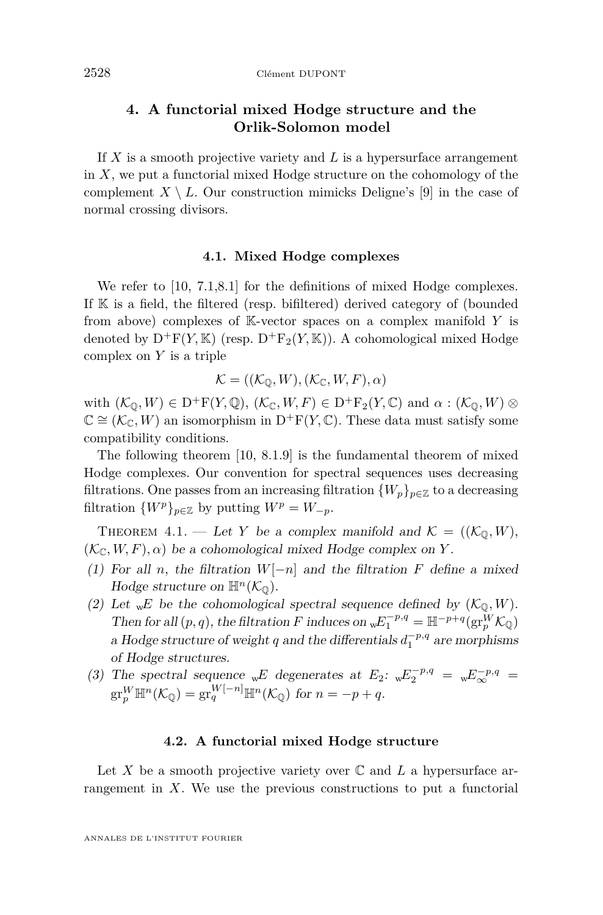# <span id="page-22-0"></span>**4. A functorial mixed Hodge structure and the Orlik-Solomon model**

If *X* is a smooth projective variety and *L* is a hypersurface arrangement in *X*, we put a functorial mixed Hodge structure on the cohomology of the complement  $X \setminus L$ . Our construction mimicks Deligne's [\[9\]](#page-38-0) in the case of normal crossing divisors.

# **4.1. Mixed Hodge complexes**

We refer to [\[10,](#page-38-0) 7.1,8.1] for the definitions of mixed Hodge complexes. If K is a field, the filtered (resp. bifiltered) derived category of (bounded from above) complexes of K-vector spaces on a complex manifold *Y* is denoted by  $D^+F(Y, K)$  (resp.  $D^+F_2(Y, K)$ ). A cohomological mixed Hodge complex on *Y* is a triple

$$
\mathcal{K} = ((\mathcal{K}_{\mathbb{Q}}, W), (\mathcal{K}_{\mathbb{C}}, W, F), \alpha)
$$

with  $(\mathcal{K}_\mathbb{Q}, W) \in D^+F(Y, \mathbb{Q}), (\mathcal{K}_\mathbb{C}, W, F) \in D^+F_2(Y, \mathbb{C})$  and  $\alpha : (\mathcal{K}_\mathbb{Q}, W) \otimes$  $\mathbb{C} \cong (\mathcal{K}_{\mathbb{C}}, W)$  an isomorphism in D<sup>+</sup>F(*Y*,  $\mathbb{C}$ ). These data must satisfy some compatibility conditions.

The following theorem [\[10,](#page-38-0) 8.1.9] is the fundamental theorem of mixed Hodge complexes. Our convention for spectral sequences uses decreasing filtrations. One passes from an increasing filtration  ${W_p}_{p \in \mathbb{Z}}$  to a decreasing filtration  $\{W^p\}_{p\in\mathbb{Z}}$  by putting  $W^p = W_{-p}$ .

THEOREM 4.1. — Let *Y* be a complex manifold and  $K = ((\mathcal{K}_0, W),$  $(\mathcal{K}_{\mathbb{C}}, W, F), \alpha)$  be a cohomological mixed Hodge complex on *Y*.

- (1) For all *n*, the filtration  $W[-n]$  and the filtration  $F$  define a mixed Hodge structure on  $\mathbb{H}^n(\mathcal{K}_{\mathbb{Q}})$ .
- (2) Let  $_{\text{w}}E$  be the cohomological spectral sequence defined by  $(\mathcal{K}_{\mathbb{Q}}, W)$ . Then for all  $(p, q)$ , the filtration *F* induces on  $wE_1^{-p,q} = \mathbb{H}^{-p+q}(\text{gr}_p^W \mathcal{K}_{\mathbb{Q}})$ a Hodge structure of weight *q* and the differentials  $d_1^{-p,q}$  are morphisms of Hodge structures.
- (3) The spectral sequence w<sup>E</sup> degenerates at  $E_2$ :  $wE_2^{-p,q} = wE_{\infty}^{-p,q}$  $\mathrm{gr}^W_p \mathbb{H}^n(\mathcal{K}_{\mathbb{Q}}) = \mathrm{gr}^{W[-n]}_q \mathbb{H}^n(\mathcal{K}_{\mathbb{Q}}) \text{ for } n = -p + q.$

# **4.2. A functorial mixed Hodge structure**

Let X be a smooth projective variety over  $\mathbb C$  and  $L$  a hypersurface arrangement in *X*. We use the previous constructions to put a functorial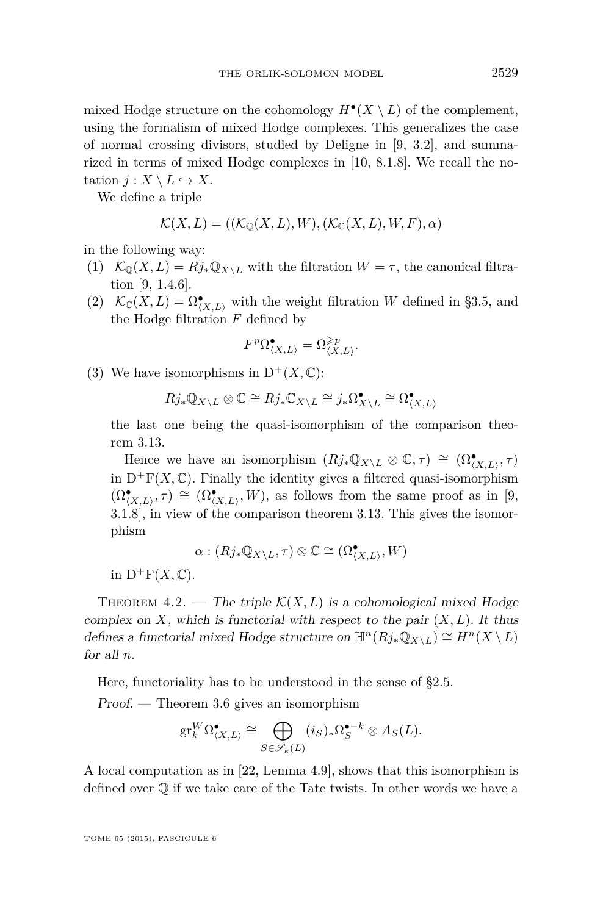<span id="page-23-0"></span>mixed Hodge structure on the cohomology  $H^{\bullet}(X \setminus L)$  of the complement, using the formalism of mixed Hodge complexes. This generalizes the case of normal crossing divisors, studied by Deligne in [\[9,](#page-38-0) 3.2], and summarized in terms of mixed Hodge complexes in [\[10,](#page-38-0) 8.1.8]. We recall the notation  $j: X \setminus L \hookrightarrow X$ .

We define a triple

$$
\mathcal{K}(X,L) = ((\mathcal{K}_{\mathbb{Q}}(X,L),W),(\mathcal{K}_{\mathbb{C}}(X,L),W,F),\alpha)
$$

in the following way:

- (1)  $\mathcal{K}_0(X, L) = Rj_* \mathbb{Q}_{X \setminus L}$  with the filtration  $W = \tau$ , the canonical filtration [\[9,](#page-38-0) 1.4.6].
- (2)  $\mathcal{K}_{\mathbb{C}}(X, L) = \Omega^{\bullet}_{(X, L)}$  with the weight filtration *W* defined in [§3.5,](#page-20-0) and the Hodge filtration *F* defined by

$$
F^p \Omega^{\bullet}_{\langle X, L \rangle} = \Omega^{\geqslant p}_{\langle X, L \rangle}.
$$

(3) We have isomorphisms in  $D^+(X,\mathbb{C})$ :

$$
Rj_*\mathbb{Q}_{X\setminus L}\otimes\mathbb{C}\cong Rj_*\mathbb{C}_{X\setminus L}\cong j_*\Omega^\bullet_{X\setminus L}\cong \Omega^\bullet_{(X,L)}
$$

the last one being the quasi-isomorphism of the comparison theorem [3.13.](#page-21-0)

Hence we have an isomorphism  $(Rj_*\mathbb{Q}_{X\setminus L}\otimes \mathbb{C},\tau) \cong (\Omega_{(X,L)}^{\bullet}, \tau)$ in  $D^+F(X,\mathbb{C})$ . Finally the identity gives a filtered quasi-isomorphism  $(\Omega^{\bullet}_{\langle X,L\rangle}, \tau) \cong (\Omega^{\bullet}_{\langle X,L\rangle}, W)$ , as follows from the same proof as in [\[9,](#page-38-0) 3.1.8], in view of the comparison theorem [3.13.](#page-21-0) This gives the isomorphism

$$
\alpha: (Rj_* \mathbb{Q}_{X \setminus L}, \tau) \otimes \mathbb{C} \cong (\Omega_{\langle X, L \rangle}^{\bullet}, W)
$$

in  $D^+F(X,\mathbb{C})$ .

THEOREM 4.2. — The triple  $\mathcal{K}(X, L)$  is a cohomological mixed Hodge complex on  $X$ , which is functorial with respect to the pair  $(X, L)$ . It thus defines a functorial mixed Hodge structure on  $\mathbb{H}^n(Rj_*\mathbb{Q}_{X\setminus L}) \cong H^n(X \setminus L)$ for all *n*.

Here, functoriality has to be understood in the sense of [§2.5.](#page-14-0)

Proof. — Theorem [3.6](#page-17-0) gives an isomorphism

$$
\mathrm{gr}^W_k\Omega^{\bullet}_{\langle X,L\rangle}\cong\bigoplus_{S\in\mathscr{S}_k(L)}(i_S)_*\Omega^{\bullet-k}_S\otimes A_S(L).
$$

A local computation as in [\[22,](#page-38-0) Lemma 4.9], shows that this isomorphism is defined over  $\mathbb Q$  if we take care of the Tate twists. In other words we have a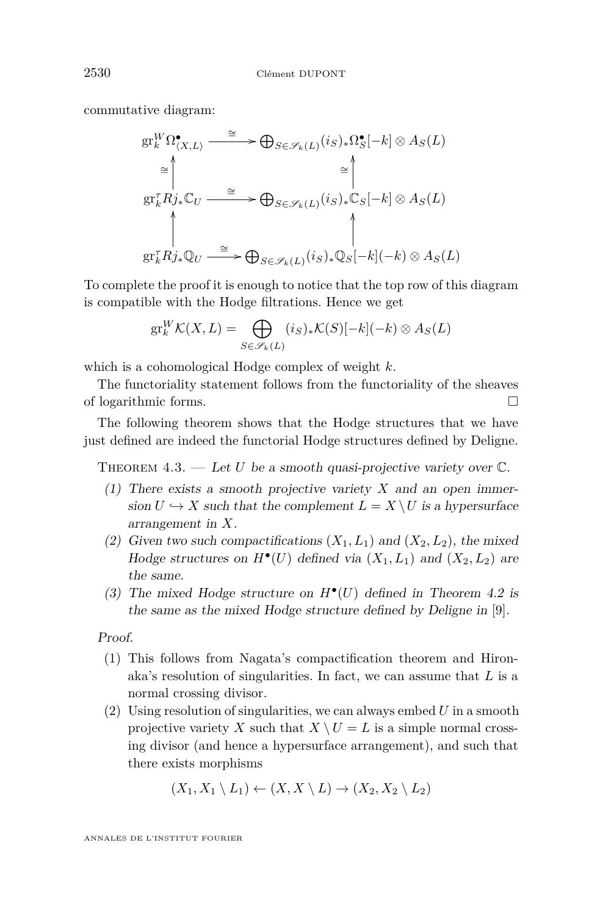commutative diagram:

$$
\begin{aligned}\n\operatorname{gr}_k^W \Omega_{(X,L)}^{\bullet} & \xrightarrow{\cong} \bigoplus_{S \in \mathscr{S}_k(L)} (i_S)_* \Omega_S^{\bullet}[-k] \otimes A_S(L) \\
& \xrightarrow{\cong} \left\| \xrightarrow{\cong} \bigoplus_{S \in \mathscr{S}_k(L)} (i_S)_* \mathbb{C}_S[-k] \otimes A_S(L) \\
& \xrightarrow{\uparrow} \bigoplus_{S \in \mathscr{S}_k(L)} (i_S)_* \mathbb{C}_S[-k] \otimes A_S(L) \\
& \xrightarrow{\cong} \bigoplus_{S \in \mathscr{S}_k(L)} (i_S)_* \mathbb{Q}_S[-k](-k) \otimes A_S(L)\n\end{aligned}
$$

To complete the proof it is enough to notice that the top row of this diagram is compatible with the Hodge filtrations. Hence we get

$$
\mathrm{gr}^W_k \mathcal{K}(X,L) = \bigoplus_{S \in \mathscr{S}_k(L)} (i_S)_* \mathcal{K}(S)[-k](-k) \otimes A_S(L)
$$

which is a cohomological Hodge complex of weight *k*.

The functoriality statement follows from the functoriality of the sheaves of logarithmic forms.

The following theorem shows that the Hodge structures that we have just defined are indeed the functorial Hodge structures defined by Deligne.

THEOREM  $4.3.$  — Let *U* be a smooth quasi-projective variety over  $\mathbb{C}$ .

- (1) There exists a smooth projective variety *X* and an open immersion  $U \hookrightarrow X$  such that the complement  $L = X \setminus U$  is a hypersurface arrangement in *X*.
- (2) Given two such compactifications  $(X_1, L_1)$  and  $(X_2, L_2)$ , the mixed Hodge structures on  $H^{\bullet}(U)$  defined via  $(X_1, L_1)$  and  $(X_2, L_2)$  are the same.
- (3) The mixed Hodge structure on  $H^{\bullet}(U)$  defined in Theorem [4.2](#page-23-0) is the same as the mixed Hodge structure defined by Deligne in [\[9\]](#page-38-0).

Proof.

- (1) This follows from Nagata's compactification theorem and Hironaka's resolution of singularities. In fact, we can assume that *L* is a normal crossing divisor.
- (2) Using resolution of singularities, we can always embed *U* in a smooth projective variety *X* such that  $X \setminus U = L$  is a simple normal crossing divisor (and hence a hypersurface arrangement), and such that there exists morphisms

$$
(X_1, X_1 \setminus L_1) \leftarrow (X, X \setminus L) \rightarrow (X_2, X_2 \setminus L_2)
$$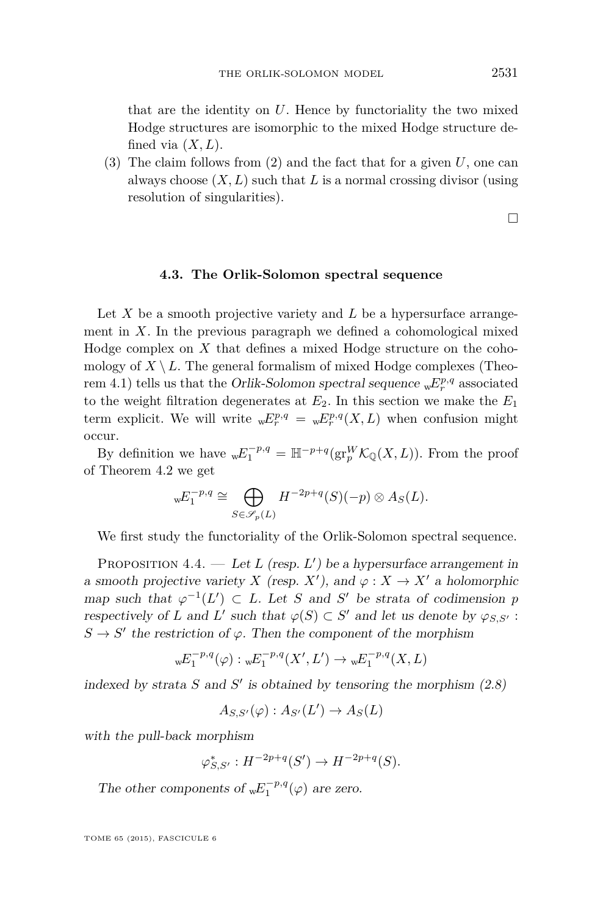<span id="page-25-0"></span>that are the identity on *U*. Hence by functoriality the two mixed Hodge structures are isomorphic to the mixed Hodge structure defined via  $(X, L)$ .

(3) The claim follows from (2) and the fact that for a given *U*, one can always choose (*X, L*) such that *L* is a normal crossing divisor (using resolution of singularities).

 $\Box$ 

# **4.3. The Orlik-Solomon spectral sequence**

Let X be a smooth projective variety and L be a hypersurface arrangement in  $X$ . In the previous paragraph we defined a cohomological mixed Hodge complex on *X* that defines a mixed Hodge structure on the cohomology of  $X \setminus L$ . The general formalism of mixed Hodge complexes (Theo-rem [4.1\)](#page-22-0) tells us that the *Orlik-Solomon spectral sequence*  ${}_{w}E^{p,q}_{r}$  associated to the weight filtration degenerates at  $E_2$ . In this section we make the  $E_1$ term explicit. We will write  ${}_{w}E^{p,q}_{r} = {}_{w}E^{p,q}_{r}(X, L)$  when confusion might occur.

By definition we have  $wE_1^{-p,q} = \mathbb{H}^{-p+q}(\text{gr}_p^W \mathcal{K}_{\mathbb{Q}}(X,L))$ . From the proof of Theorem [4.2](#page-23-0) we get

$$
{}_{w}E_1^{-p,q} \cong \bigoplus_{S \in \mathscr{S}_p(L)} H^{-2p+q}(S)(-p) \otimes A_S(L).
$$

We first study the functoriality of the Orlik-Solomon spectral sequence.

PROPOSITION  $4.4.$  — Let L (resp. L') be a hypersurface arrangement in a smooth projective variety *X* (resp. *X*<sup> $\prime$ </sup>), and  $\varphi : X \to X'$  a holomorphic map such that  $\varphi^{-1}(L') \subset L$ . Let *S* and *S'* be strata of codimension *p* respectively of *L* and *L'* such that  $\varphi(S) \subset S'$  and let us denote by  $\varphi_{S,S'}$ :  $S \to S'$  the restriction of  $\varphi$ . Then the component of the morphism

<sup>w</sup>*E* −*p,q* 1 (*ϕ*) : <sup>w</sup>*E* −*p,q* 1 (*X*<sup>0</sup> *, L*<sup>0</sup> ) → <sup>w</sup>*E* −*p,q* 1 (*X, L*)

indexed by strata  $S$  and  $S'$  is obtained by tensoring the morphism  $(2.8)$ 

$$
A_{S,S'}(\varphi):A_{S'}(L')\to A_S(L)
$$

with the pull-back morphism

$$
\varphi_{S,S'}^* : H^{-2p+q}(S') \to H^{-2p+q}(S).
$$

The other components of  $wE_1^{-p,q}(\varphi)$  are zero.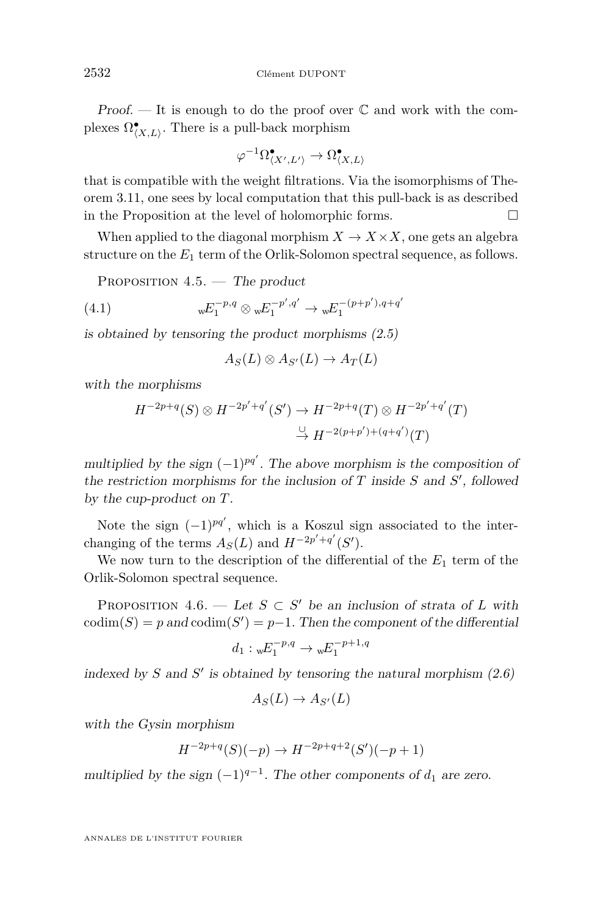<span id="page-26-0"></span>Proof.  $\mathcal{L}$  It is enough to do the proof over  $\mathbb C$  and work with the complexes  $\Omega^\bullet_{\langle X,L \rangle}$ . There is a pull-back morphism

$$
\varphi^{-1}\Omega^{\bullet}_{\langle X',L'\rangle} \to \Omega^{\bullet}_{\langle X,L\rangle}
$$

that is compatible with the weight filtrations. Via the isomorphisms of Theorem [3.11,](#page-21-0) one sees by local computation that this pull-back is as described in the Proposition at the level of holomorphic forms.  $\Box$ 

When applied to the diagonal morphism  $X \to X \times X$ , one gets an algebra structure on the  $E_1$  term of the Orlik-Solomon spectral sequence, as follows.

PROPOSITION  $4.5.$  – The product

(4.1) 
$$
{}_{w}E_{1}^{-p,q} \otimes {}_{w}E_{1}^{-p',q'} \to {}_{w}E_{1}^{-(p+p'),q+q'}
$$

is obtained by tensoring the product morphisms [\(2.5\)](#page-13-0)

$$
A_S(L) \otimes A_{S'}(L) \to A_T(L)
$$

with the morphisms

$$
H^{-2p+q}(S) \otimes H^{-2p'+q'}(S') \to H^{-2p+q}(T) \otimes H^{-2p'+q'}(T)
$$
  

$$
\xrightarrow{\cup} H^{-2(p+p')+(q+q')}(T)
$$

multiplied by the sign  $(-1)^{pq'}$ . The above morphism is the composition of the restriction morphisms for the inclusion of  $T$  inside  $S$  and  $S'$ , followed by the cup-product on *T*.

Note the sign  $(-1)^{pq'}$ , which is a Koszul sign associated to the interchanging of the terms  $A_S(L)$  and  $H^{-2p'+q'}(S')$ .

We now turn to the description of the differential of the *E*<sup>1</sup> term of the Orlik-Solomon spectral sequence.

PROPOSITION 4.6. — Let  $S \subset S'$  be an inclusion of strata of L with  $\text{codim}(S) = p$  and  $\text{codim}(S') = p-1$ . Then the component of the differential

$$
d_1: {}_{w}E_1^{-p,q} \to {}_{w}E_1^{-p+1,q}
$$

indexed by  $S$  and  $S'$  is obtained by tensoring the natural morphism  $(2.6)$ 

$$
A_S(L) \to A_{S'}(L)
$$

with the Gysin morphism

$$
H^{-2p+q}(S)(-p) \to H^{-2p+q+2}(S')(-p+1)
$$

multiplied by the sign  $(-1)^{q-1}$ . The other components of  $d_1$  are zero.

ANNALES DE L'INSTITUT FOURIER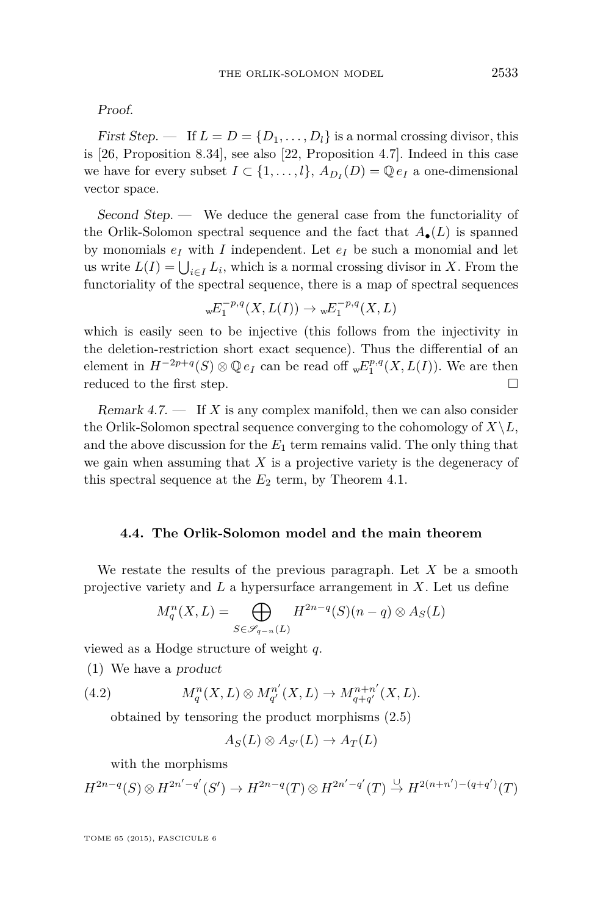<span id="page-27-0"></span>Proof.

First Step.  $\blacksquare$  If  $L = D = \{D_1, \ldots, D_l\}$  is a normal crossing divisor, this is [\[26,](#page-38-0) Proposition 8.34], see also [\[22,](#page-38-0) Proposition 4.7]. Indeed in this case we have for every subset  $I \subset \{1, ..., l\}$ ,  $A_{D_I}(D) = \mathbb{Q} e_I$  a one-dimensional vector space.

Second Step. — We deduce the general case from the functoriality of the Orlik-Solomon spectral sequence and the fact that *A*•(*L*) is spanned by monomials  $e_I$  with *I* independent. Let  $e_I$  be such a monomial and let us write  $L(I) = \bigcup_{i \in I} L_i$ , which is a normal crossing divisor in *X*. From the functoriality of the spectral sequence, there is a map of spectral sequences

$$
wE_1^{-p,q}(X, L(I)) \to wE_1^{-p,q}(X, L)
$$

which is easily seen to be injective (this follows from the injectivity in the deletion-restriction short exact sequence). Thus the differential of an element in  $H^{-2p+q}(S) \otimes \mathbb{Q} e_I$  can be read off  ${}_{w}E_1^{p,q}(X, L(I))$ . We are then reduced to the first step.  $\Box$ 

Remark  $4.7.$  — If X is any complex manifold, then we can also consider the Orlik-Solomon spectral sequence converging to the cohomology of  $X\backslash L$ , and the above discussion for the  $E_1$  term remains valid. The only thing that we gain when assuming that *X* is a projective variety is the degeneracy of this spectral sequence at the  $E_2$  term, by Theorem [4.1.](#page-22-0)

#### **4.4. The Orlik-Solomon model and the main theorem**

We restate the results of the previous paragraph. Let *X* be a smooth projective variety and *L* a hypersurface arrangement in *X*. Let us define

$$
M_q^n(X, L) = \bigoplus_{S \in \mathscr{S}_{q-n}(L)} H^{2n-q}(S)(n-q) \otimes A_S(L)
$$

viewed as a Hodge structure of weight *q*.

(1) We have a product

(4.2) 
$$
M_q^n(X, L) \otimes M_{q'}^{n'}(X, L) \to M_{q+q'}^{n+n'}(X, L).
$$

obtained by tensoring the product morphisms [\(2.5\)](#page-13-0)

$$
A_S(L) \otimes A_{S'}(L) \to A_T(L)
$$

with the morphisms

$$
H^{2n-q}(S) \otimes H^{2n'-q'}(S') \to H^{2n-q}(T) \otimes H^{2n'-q'}(T) \overset{\cup}{\to} H^{2(n+n')-(q+q')}(T)
$$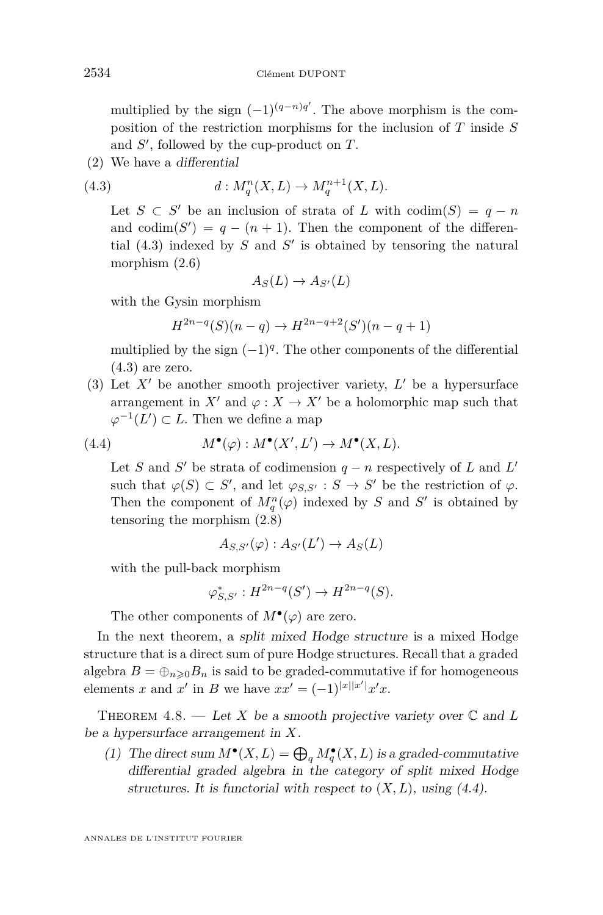<span id="page-28-0"></span>multiplied by the sign  $(-1)^{(q-n)q'}$ . The above morphism is the composition of the restriction morphisms for the inclusion of *T* inside *S* and  $S'$ , followed by the cup-product on  $T$ .

(2) We have a differential

(4.3) 
$$
d: M_q^n(X, L) \to M_q^{n+1}(X, L).
$$

Let  $S \subset S'$  be an inclusion of strata of *L* with codim( $S$ ) =  $q - n$ and  $\text{codim}(S') = q - (n + 1)$ . Then the component of the differential  $(4.3)$  indexed by *S* and *S'* is obtained by tensoring the natural morphism [\(2.6\)](#page-13-0)

$$
A_S(L) \to A_{S'}(L)
$$

with the Gysin morphism

$$
H^{2n-q}(S)(n-q) \to H^{2n-q+2}(S')(n-q+1)
$$

multiplied by the sign  $(-1)^q$ . The other components of the differential  $(4.3)$  are zero.

(3) Let  $X'$  be another smooth projectiver variety,  $L'$  be a hypersurface arrangement in *X'* and  $\varphi : X \to X'$  be a holomorphic map such that  $\varphi^{-1}(L') \subset L$ . Then we define a map

(4.4) 
$$
M^{\bullet}(\varphi): M^{\bullet}(X', L') \to M^{\bullet}(X, L).
$$

Let *S* and *S'* be strata of codimension  $q - n$  respectively of *L* and *L'* such that  $\varphi(S) \subset S'$ , and let  $\varphi_{S,S'} : S \to S'$  be the restriction of  $\varphi$ . Then the component of  $M_q^n(\varphi)$  indexed by *S* and *S*<sup> $\prime$ </sup> is obtained by tensoring the morphism [\(2.8\)](#page-14-0)

$$
A_{S,S'}(\varphi):A_{S'}(L')\to A_S(L)
$$

with the pull-back morphism

$$
\varphi_{S,S'}^* : H^{2n-q}(S') \to H^{2n-q}(S).
$$

The other components of  $M^{\bullet}(\varphi)$  are zero.

In the next theorem, a split mixed Hodge structure is a mixed Hodge structure that is a direct sum of pure Hodge structures. Recall that a graded algebra  $B = \bigoplus_{n \geq 0} B_n$  is said to be graded-commutative if for homogeneous elements *x* and *x'* in *B* we have  $xx' = (-1)^{|x||x'|}x'x$ .

THEOREM 4.8. — Let X be a smooth projective variety over  $\mathbb C$  and L be a hypersurface arrangement in *X*.

(1) The direct sum  $M^{\bullet}(X, L) = \bigoplus_{q} M^{\bullet}_{q}(X, L)$  is a graded-commutative differential graded algebra in the category of split mixed Hodge structures. It is functorial with respect to  $(X, L)$ , using  $(4.4)$ .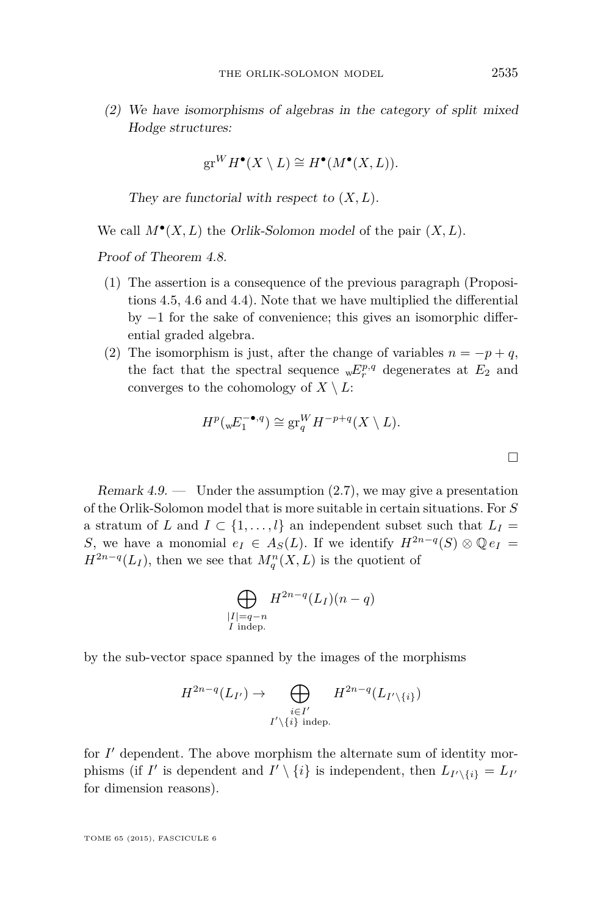<span id="page-29-0"></span>(2) We have isomorphisms of algebras in the category of split mixed Hodge structures:

$$
\operatorname{gr}^WH^\bullet(X \setminus L) \cong H^\bullet(M^\bullet(X, L)).
$$

They are functorial with respect to (*X, L*).

We call  $M^{\bullet}(X, L)$  the *Orlik-Solomon model* of the pair  $(X, L)$ .

Proof of Theorem [4.8.](#page-28-0)

- (1) The assertion is a consequence of the previous paragraph (Propositions [4.5,](#page-26-0) [4.6](#page-26-0) and [4.4\)](#page-25-0). Note that we have multiplied the differential by −1 for the sake of convenience; this gives an isomorphic differential graded algebra.
- (2) The isomorphism is just, after the change of variables  $n = -p + q$ , the fact that the spectral sequence  $\mathbf{w}E^{p,q}$  degenerates at  $E_2$  and converges to the cohomology of  $X \setminus L$ :

$$
H^p(\mathbf{w}E_1^{-\bullet,q}) \cong \operatorname{gr}_q^WH^{-p+q}(X \setminus L).
$$

Remark  $4.9.$  — Under the assumption  $(2.7)$ , we may give a presentation of the Orlik-Solomon model that is more suitable in certain situations. For *S* a stratum of *L* and  $I \subset \{1, \ldots, l\}$  an independent subset such that  $L_I =$ *S*, we have a monomial  $e_I \in A_S(L)$ . If we identify  $H^{2n-q}(S) \otimes \mathbb{Q}e_I =$  $H^{2n-q}(L_I)$ , then we see that  $M_q^n(X, L)$  is the quotient of

$$
\bigoplus_{\substack{|I|=q-n\\I \text{ indep.}}} H^{2n-q}(L_I)(n-q)
$$

by the sub-vector space spanned by the images of the morphisms

$$
H^{2n-q}(L_{I'}) \to \bigoplus_{\substack{i \in I'\\ I'\setminus\{i\} \text{ indep.}}} H^{2n-q}(L_{I'\setminus\{i\}})
$$

for  $I'$  dependent. The above morphism the alternate sum of identity morphisms (if *I'* is dependent and  $I' \setminus \{i\}$  is independent, then  $L_{I' \setminus \{i\}} = L_{I'}$ for dimension reasons).

TOME 65 (2015), FASCICULE 6

 $\Box$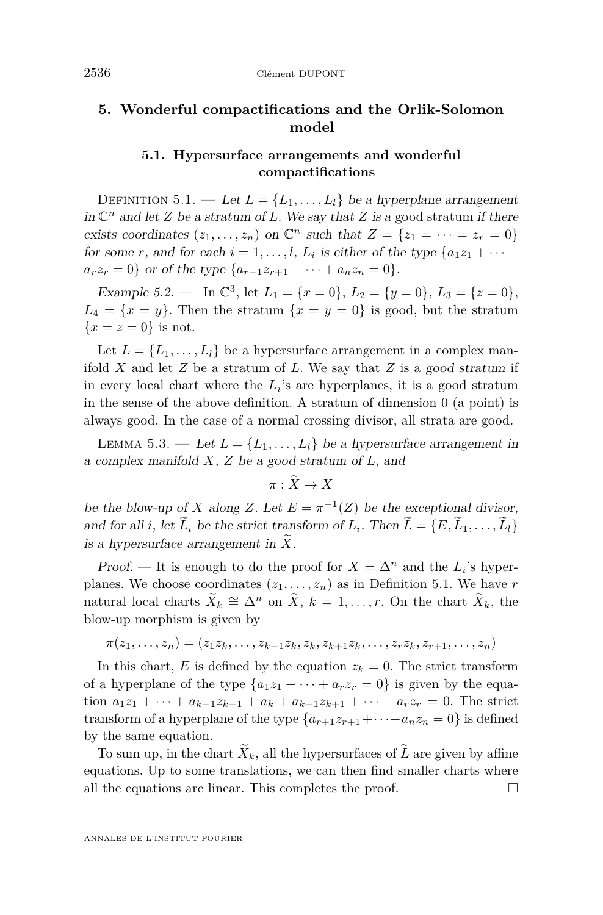# <span id="page-30-0"></span>**5. Wonderful compactifications and the Orlik-Solomon model**

# **5.1. Hypersurface arrangements and wonderful compactifications**

DEFINITION 5.1. — Let  $L = \{L_1, \ldots, L_l\}$  be a hyperplane arrangement in  $\mathbb{C}^n$  and let *Z* be a stratum of *L*. We say that *Z* is a good stratum if there exists coordinates  $(z_1, \ldots, z_n)$  on  $\mathbb{C}^n$  such that  $Z = \{z_1 = \cdots = z_r = 0\}$ for some *r*, and for each  $i = 1, \ldots, l$ ,  $L_i$  is either of the type  $\{a_1 z_1 + \cdots + a_n z_n\}$  $a_r z_r = 0$  or of the type  $\{a_{r+1}z_{r+1} + \cdots + a_n z_n = 0\}.$ 

Example 5.2. — In  $\mathbb{C}^3$ , let  $L_1 = \{x = 0\}$ ,  $L_2 = \{y = 0\}$ ,  $L_3 = \{z = 0\}$ ,  $L_4 = \{x = y\}$ . Then the stratum  $\{x = y = 0\}$  is good, but the stratum  ${x = z = 0}$  is not.

Let  $L = \{L_1, \ldots, L_l\}$  be a hypersurface arrangement in a complex manifold *X* and let *Z* be a stratum of *L*. We say that *Z* is a good stratum if in every local chart where the  $L_i$ 's are hyperplanes, it is a good stratum in the sense of the above definition. A stratum of dimension 0 (a point) is always good. In the case of a normal crossing divisor, all strata are good.

LEMMA 5.3. — Let  $L = \{L_1, \ldots, L_l\}$  be a hypersurface arrangement in a complex manifold *X*, *Z* be a good stratum of *L*, and

 $\pi : \widetilde{X} \to X$ 

be the blow-up of *X* along *Z*. Let  $E = \pi^{-1}(Z)$  be the exceptional divisor, and for all *i*, let  $L_i$  be the strict transform of  $L_i$ . Then  $L = \{E, L_1, \ldots, L_l\}$ is a hypersurface arrangement in  $\tilde{X}$ .

Proof. — It is enough to do the proof for  $X = \Delta^n$  and the  $L_i$ 's hyperplanes. We choose coordinates  $(z_1, \ldots, z_n)$  as in Definition 5.1. We have *r* natural local charts  $\widetilde{X}_k \cong \Delta^n$  on  $\widetilde{X}$ ,  $k = 1, \ldots, r$ . On the chart  $\widetilde{X}_k$ , the blow-up morphism is given by

$$
\pi(z_1,\ldots,z_n) = (z_1z_k,\ldots,z_{k-1}z_k,z_k,z_{k+1}z_k,\ldots,z_rz_k,z_{r+1},\ldots,z_n)
$$

In this chart, *E* is defined by the equation  $z_k = 0$ . The strict transform of a hyperplane of the type  $\{a_1z_1 + \cdots + a_rz_r = 0\}$  is given by the equation  $a_1z_1 + \cdots + a_{k-1}z_{k-1} + a_k + a_{k+1}z_{k+1} + \cdots + a_rz_r = 0$ . The strict transform of a hyperplane of the type  $\{a_{r+1}z_{r+1}+\cdots+a_nz_n=0\}$  is defined by the same equation.

To sum up, in the chart  $\tilde{X}_k$ , all the hypersurfaces of  $\tilde{L}$  are given by affine equations. Up to some translations, we can then find smaller charts where all the equations are linear. This completes the proof.  $\Box$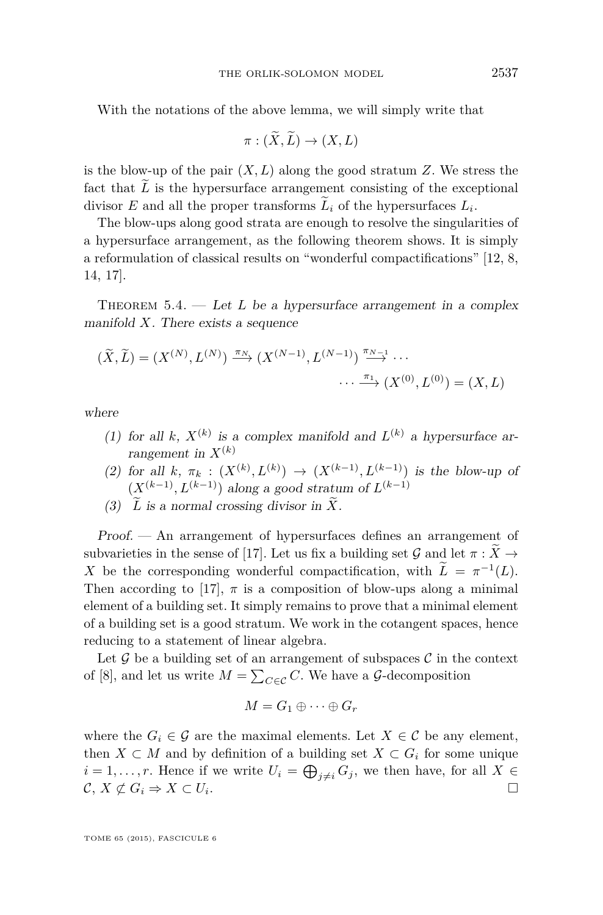<span id="page-31-0"></span>With the notations of the above lemma, we will simply write that

$$
\pi : (X, L) \to (X, L)
$$

is the blow-up of the pair  $(X, L)$  along the good stratum  $Z$ . We stress the fact that  $\tilde{L}$  is the hypersurface arrangement consisting of the exceptional divisor *E* and all the proper transforms  $L_i$  of the hypersurfaces  $L_i$ .

The blow-ups along good strata are enough to resolve the singularities of a hypersurface arrangement, as the following theorem shows. It is simply a reformulation of classical results on "wonderful compactifications" [\[12,](#page-38-0) [8,](#page-38-0) [14,](#page-38-0) [17\]](#page-38-0).

THEOREM  $5.4.$  — Let L be a hypersurface arrangement in a complex manifold *X*. There exists a sequence

$$
(\widetilde{X}, \widetilde{L}) = (X^{(N)}, L^{(N)}) \xrightarrow{\pi_N} (X^{(N-1)}, L^{(N-1)}) \xrightarrow{\pi_{N-1}} \cdots
$$

$$
\cdots \xrightarrow{\pi_1} (X^{(0)}, L^{(0)}) = (X, L)
$$

where

- (1) for all *k*,  $X^{(k)}$  is a complex manifold and  $L^{(k)}$  a hypersurface arrangement in  $X^{(k)}$
- (2) for all  $k, \pi_k : (X^{(k)}, L^{(k)}) \to (X^{(k-1)}, L^{(k-1)})$  is the blow-up of  $(X^{(k-1)}, L^{(k-1)})$  along a good stratum of  $L^{(k-1)}$
- (3)  $\widetilde{L}$  is a normal crossing divisor in  $\widetilde{X}$ .

Proof. — An arrangement of hypersurfaces defines an arrangement of subvarieties in the sense of [\[17\]](#page-38-0). Let us fix a building set  $\mathcal G$  and let  $\pi : \widetilde{X} \to$ *X* be the corresponding wonderful compactification, with  $\tilde{L} = \pi^{-1}(L)$ . Then according to [\[17\]](#page-38-0),  $\pi$  is a composition of blow-ups along a minimal element of a building set. It simply remains to prove that a minimal element of a building set is a good stratum. We work in the cotangent spaces, hence reducing to a statement of linear algebra.

Let  $\mathcal G$  be a building set of an arrangement of subspaces  $\mathcal C$  in the context of [\[8\]](#page-38-0), and let us write  $M = \sum_{C \in \mathcal{C}} C$ . We have a  $\mathcal{G}$ -decomposition

$$
M = G_1 \oplus \cdots \oplus G_r
$$

where the  $G_i \in \mathcal{G}$  are the maximal elements. Let  $X \in \mathcal{C}$  be any element, then  $X \subset M$  and by definition of a building set  $X \subset G_i$  for some unique  $i = 1, \ldots, r$ . Hence if we write  $U_i = \bigoplus_{j \neq i} G_j$ , we then have, for all  $X \in$  $\mathcal{C}, X \not\subset G_i \Rightarrow X \subset U_i.$ .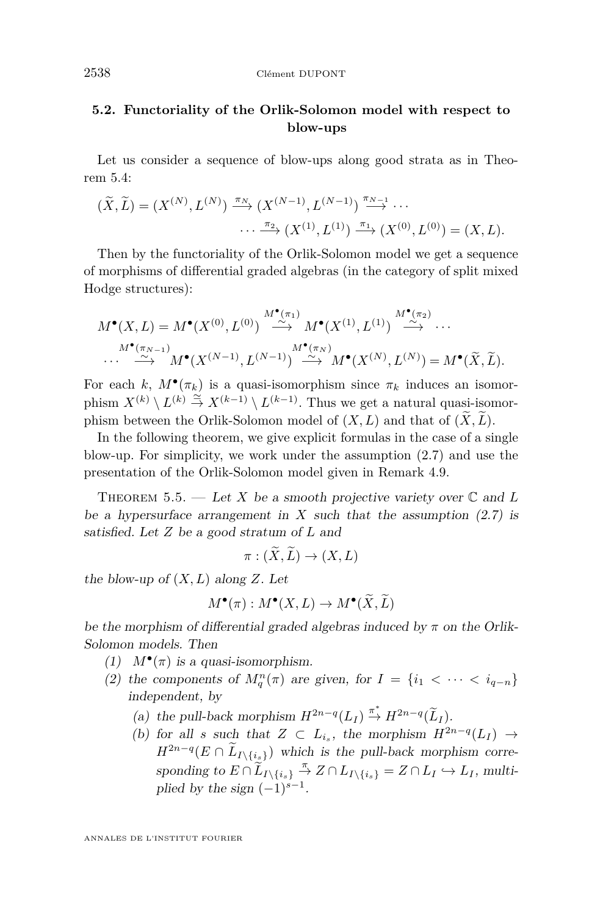# <span id="page-32-0"></span>**5.2. Functoriality of the Orlik-Solomon model with respect to blow-ups**

Let us consider a sequence of blow-ups along good strata as in Theorem [5.4:](#page-31-0)

$$
(\widetilde{X}, \widetilde{L}) = (X^{(N)}, L^{(N)}) \xrightarrow{\pi_N} (X^{(N-1)}, L^{(N-1)}) \xrightarrow{\pi_{N-1}} \cdots
$$

$$
\cdots \xrightarrow{\pi_2} (X^{(1)}, L^{(1)}) \xrightarrow{\pi_1} (X^{(0)}, L^{(0)}) = (X, L).
$$

Then by the functoriality of the Orlik-Solomon model we get a sequence of morphisms of differential graded algebras (in the category of split mixed Hodge structures):

$$
M^{\bullet}(X, L) = M^{\bullet}(X^{(0)}, L^{(0)}) \stackrel{M^{\bullet}(\pi_1)}{\xrightarrow{\sim}} M^{\bullet}(X^{(1)}, L^{(1)}) \stackrel{M^{\bullet}(\pi_2)}{\xrightarrow{\sim}} \cdots
$$
  

$$
\cdots \stackrel{M^{\bullet}(\pi_{N-1})}{\xrightarrow{\sim}} M^{\bullet}(X^{(N-1)}, L^{(N-1)}) \stackrel{M^{\bullet}(\pi_N)}{\xrightarrow{\sim}} M^{\bullet}(X^{(N)}, L^{(N)}) = M^{\bullet}(\widetilde{X}, \widetilde{L}).
$$

For each *k*,  $M^{\bullet}(\pi_k)$  is a quasi-isomorphism since  $\pi_k$  induces an isomorphism  $X^{(k)} \setminus L^{(k)} \stackrel{\simeq}{\to} X^{(k-1)} \setminus L^{(k-1)}$ . Thus we get a natural quasi-isomorphism between the Orlik-Solomon model of  $(X, L)$  and that of  $(\widetilde{X}, \widetilde{L})$ .

In the following theorem, we give explicit formulas in the case of a single blow-up. For simplicity, we work under the assumption [\(2.7\)](#page-13-0) and use the presentation of the Orlik-Solomon model given in Remark [4.9.](#page-29-0)

THEOREM 5.5. — Let *X* be a smooth projective variety over  $\mathbb C$  and L be a hypersurface arrangement in  $X$  such that the assumption  $(2.7)$  is satisfied. Let *Z* be a good stratum of *L* and

$$
\pi: (\widetilde{X}, \widetilde{L}) \to (X, L)
$$

the blow-up of  $(X, L)$  along  $Z$ . Let

$$
M^{\bullet}(\pi): M^{\bullet}(X, L) \to M^{\bullet}(\widetilde{X}, \widetilde{L})
$$

be the morphism of differential graded algebras induced by  $\pi$  on the Orlik-Solomon models. Then

- (1)  $M^{\bullet}(\pi)$  is a quasi-isomorphism.
- (2) the components of  $M_q^n(\pi)$  are given, for  $I = \{i_1 < \cdots < i_{q-n}\}\$ independent, by
	- (a) the pull-back morphism  $H^{2n-q}(L_I) \stackrel{\pi^*}{\to} H^{2n-q}(\widetilde{L}_I)$ .
	- (b) for all *s* such that  $Z \subset L_{i_s}$ , the morphism  $H^{2n-q}(L_I) \to$  $H^{2n-q}(E \cap \tilde{L}_{I \setminus \{i_{\leq \xi}\}})$  which is the pull-back morphism corresponding to  $E \cap \widetilde{L}_I \setminus \{i_s\} \stackrel{\pi}{\to} Z \cap L_I \setminus \{i_s\} = Z \cap L_I \hookrightarrow L_I$ , multiplied by the sign  $(-1)^{s-1}$ .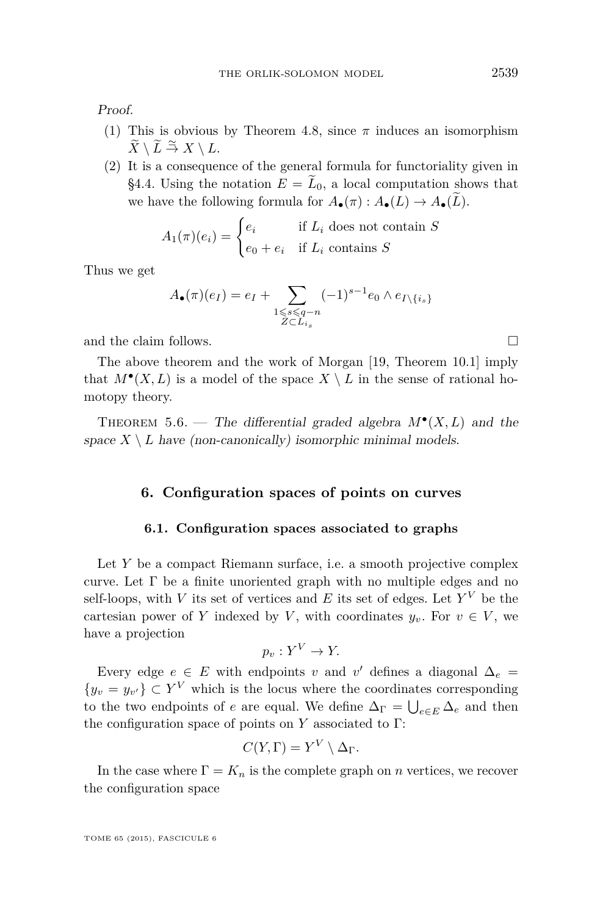<span id="page-33-0"></span>Proof.

- (1) This is obvious by Theorem [4.8,](#page-28-0) since  $\pi$  induces an isomorphism  $\widetilde{X} \setminus L \stackrel{\simeq}{\to} X \setminus L.$
- (2) It is a consequence of the general formula for functoriality given in [§4.4.](#page-27-0) Using the notation  $E = \tilde{L}_0$ , a local computation shows that we have the following formula for  $A_{\bullet}(\pi): A_{\bullet}(L) \to A_{\bullet}(\tilde{L}).$

$$
A_1(\pi)(e_i) = \begin{cases} e_i & \text{if } L_i \text{ does not contain } S \\ e_0 + e_i & \text{if } L_i \text{ contains } S \end{cases}
$$

Thus we get

$$
A_{\bullet}(\pi)(e_I) = e_I + \sum_{\substack{1 \leq s \leq q-n \\ Z \subset L_{i_s}}} (-1)^{s-1} e_0 \wedge e_{I \setminus \{i_s\}}
$$

and the claim follows.

The above theorem and the work of Morgan [\[19,](#page-38-0) Theorem 10.1] imply that  $M^{\bullet}(X, L)$  is a model of the space  $X \setminus L$  in the sense of rational homotopy theory.

THEOREM 5.6. — The differential graded algebra  $M^{\bullet}(X, L)$  and the space  $X \setminus L$  have (non-canonically) isomorphic minimal models.

# **6. Configuration spaces of points on curves**

# **6.1. Configuration spaces associated to graphs**

Let *Y* be a compact Riemann surface, i.e. a smooth projective complex curve. Let  $\Gamma$  be a finite unoriented graph with no multiple edges and no self-loops, with *V* its set of vertices and *E* its set of edges. Let  $Y^V$  be the cartesian power of *Y* indexed by *V*, with coordinates  $y_v$ . For  $v \in V$ , we have a projection

$$
p_v: Y^V \to Y.
$$

Every edge  $e \in E$  with endpoints *v* and *v*<sup>'</sup> defines a diagonal  $\Delta_e$  =  ${y_v = y_{v'}\} \subset Y^V$  which is the locus where the coordinates corresponding to the two endpoints of *e* are equal. We define  $\Delta_{\Gamma} = \bigcup_{e \in E} \Delta_e$  and then the configuration space of points on  $Y$  associated to  $\Gamma$ :

$$
C(Y,\Gamma) = Y^V \setminus \Delta_{\Gamma}.
$$

In the case where  $\Gamma = K_n$  is the complete graph on *n* vertices, we recover the configuration space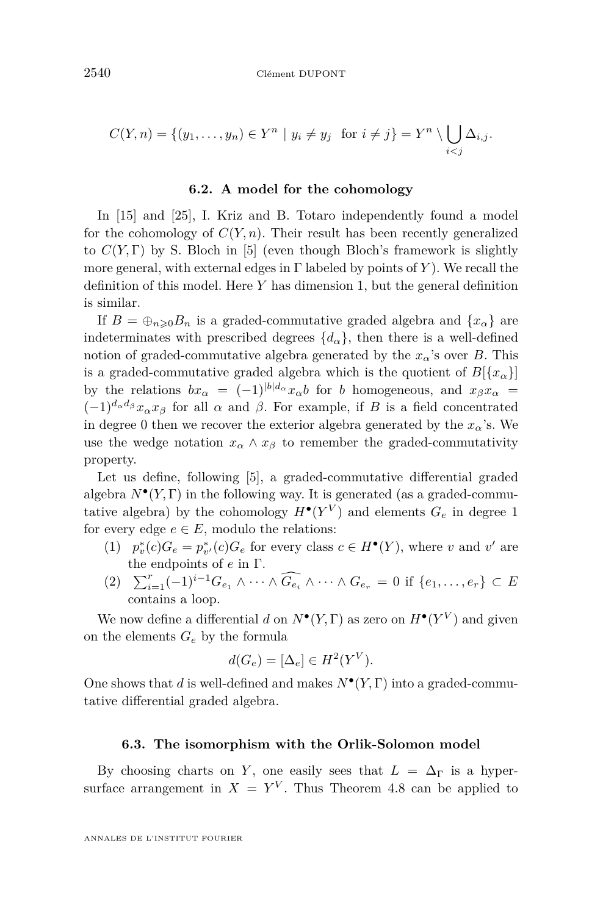$$
C(Y, n) = \{(y_1, \ldots, y_n) \in Y^n \mid y_i \neq y_j \text{ for } i \neq j\} = Y^n \setminus \bigcup_{i < j} \Delta_{i,j}.
$$

### **6.2. A model for the cohomology**

In [\[15\]](#page-38-0) and [\[25\]](#page-38-0), I. Kriz and B. Totaro independently found a model for the cohomology of  $C(Y, n)$ . Their result has been recently generalized to  $C(Y, \Gamma)$  by S. Bloch in [\[5\]](#page-37-0) (even though Bloch's framework is slightly more general, with external edges in Γ labeled by points of *Y* ). We recall the definition of this model. Here *Y* has dimension 1, but the general definition is similar.

If  $B = \bigoplus_{n \geq 0} B_n$  is a graded-commutative graded algebra and  $\{x_\alpha\}$  are indeterminates with prescribed degrees  $\{d_{\alpha}\}\$ , then there is a well-defined notion of graded-commutative algebra generated by the  $x_\alpha$ 's over *B*. This is a graded-commutative graded algebra which is the quotient of  $B[\{x_{\alpha}\}]$ by the relations  $bx_\alpha = (-1)^{|b|d_\alpha} x_\alpha b$  for *b* homogeneous, and  $x_\beta x_\alpha =$  $(-1)^{d_{\alpha}d_{\beta}}x_{\alpha}x_{\beta}$  for all  $\alpha$  and  $\beta$ . For example, if *B* is a field concentrated in degree 0 then we recover the exterior algebra generated by the  $x_{\alpha}$ 's. We use the wedge notation  $x_{\alpha} \wedge x_{\beta}$  to remember the graded-commutativity property.

Let us define, following [\[5\]](#page-37-0), a graded-commutative differential graded algebra  $N^{\bullet}(Y, \Gamma)$  in the following way. It is generated (as a graded-commutative algebra) by the cohomology  $H^{\bullet}(Y^V)$  and elements  $G_e$  in degree 1 for every edge  $e \in E$ , modulo the relations:

- (1)  $p_v^*(c)G_e = p_{v'}^*(c)G_e$  for every class  $c \in H^{\bullet}(Y)$ , where *v* and *v*' are the endpoints of *e* in Γ.
- $(2)$   $\sum_{i=1}^{r}(-1)^{i-1}G_{e_1} \wedge \cdots \wedge \widehat{G_{e_i}} \wedge \cdots \wedge G_{e_r} = 0$  if  $\{e_1, \ldots, e_r\} \subset E$ contains a loop.

We now define a differential *d* on  $N^{\bullet}(Y, \Gamma)$  as zero on  $H^{\bullet}(Y^V)$  and given on the elements  $G_e$  by the formula

$$
d(G_e) = [\Delta_e] \in H^2(Y^V).
$$

One shows that *d* is well-defined and makes *N*• (*Y,* Γ) into a graded-commutative differential graded algebra.

### **6.3. The isomorphism with the Orlik-Solomon model**

By choosing charts on *Y*, one easily sees that  $L = \Delta_{\Gamma}$  is a hypersurface arrangement in  $X = Y^V$ . Thus Theorem [4.8](#page-28-0) can be applied to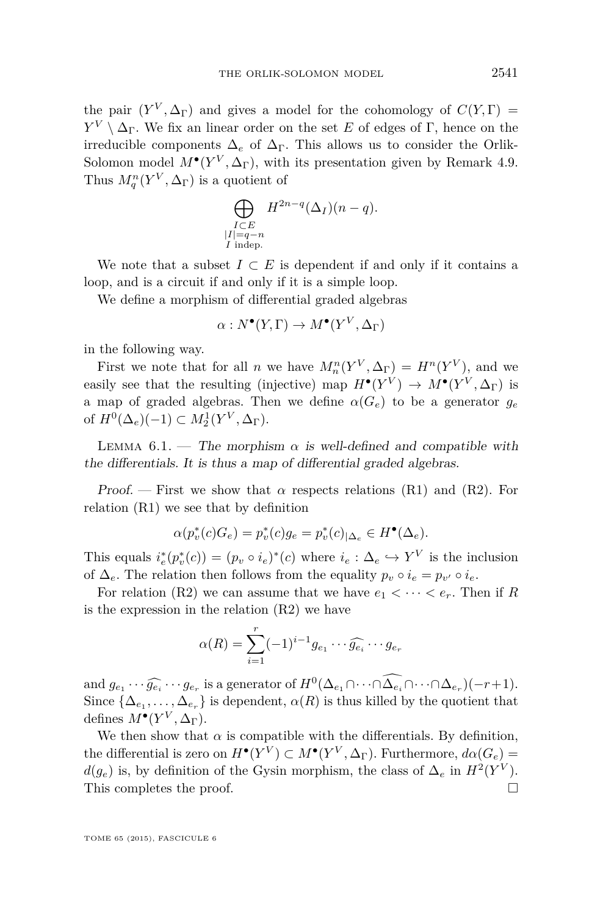the pair  $(Y^V, \Delta_\Gamma)$  and gives a model for the cohomology of  $C(Y, \Gamma)$  = *Y*<sup>*V*</sup> \  $\Delta_{\Gamma}$ . We fix an linear order on the set *E* of edges of Γ, hence on the irreducible components  $\Delta_e$  of  $\Delta_{\Gamma}$ . This allows us to consider the Orlik-Solomon model  $M^{\bullet}(Y^V, \Delta_{\Gamma})$ , with its presentation given by Remark [4.9.](#page-29-0) Thus  $M_q^n(Y^V, \Delta_\Gamma)$  is a quotient of

$$
\bigoplus_{\substack{I \subset E \\ |I| = q - n \\ I \text{ indep.}}} H^{2n-q}(\Delta_I)(n-q).
$$

We note that a subset  $I \subset E$  is dependent if and only if it contains a loop, and is a circuit if and only if it is a simple loop.

We define a morphism of differential graded algebras

$$
\alpha: N^{\bullet}(Y,\Gamma) \to M^{\bullet}(Y^V,\Delta_{\Gamma})
$$

in the following way.

First we note that for all *n* we have  $M_n^n(Y^V, \Delta_\Gamma) = H^n(Y^V)$ , and we easily see that the resulting (injective) map  $H^{\bullet}(Y^V) \to M^{\bullet}(Y^V, \Delta_{\Gamma})$  is a map of graded algebras. Then we define  $\alpha(G_e)$  to be a generator  $g_e$ of  $H^0(\Delta_e)(-1) \subset M_2^1(Y^V, \Delta_\Gamma).$ 

LEMMA 6.1. — The morphism  $\alpha$  is well-defined and compatible with the differentials. It is thus a map of differential graded algebras.

Proof. — First we show that  $\alpha$  respects relations (R1) and (R2). For relation (R1) we see that by definition

$$
\alpha(p_v^*(c)G_e) = p_v^*(c)g_e = p_v^*(c)_{|\Delta_e} \in H^{\bullet}(\Delta_e).
$$

This equals  $i_e^*(p_v^*(c)) = (p_v \circ i_e)^*(c)$  where  $i_e : \Delta_e \hookrightarrow Y^V$  is the inclusion of  $\Delta_e$ . The relation then follows from the equality  $p_v \circ i_e = p_{v'} \circ i_e$ .

For relation (R2) we can assume that we have  $e_1 < \cdots < e_r$ . Then if R is the expression in the relation (R2) we have

$$
\alpha(R) = \sum_{i=1}^r (-1)^{i-1} g_{e_1} \cdots \widehat{g_{e_i}} \cdots g_{e_r}
$$

and  $g_{e_1} \cdots \widehat{g_{e_i}} \cdots g_{e_r}$  is a generator of  $H^0(\Delta_{e_1} \cap \cdots \cap \Delta_{e_i} \cap \cdots \cap \Delta_{e_r})(-r+1)$ .<br>Since  $\{\Lambda \longrightarrow \Lambda\}$  is dependent  $g(P)$  is thus killed by the quotient that Since  $\{\Delta_{e_1}, \ldots, \Delta_{e_r}\}\$  is dependent,  $\alpha(R)$  is thus killed by the quotient that defines  $M^{\bullet}(Y^V, \Delta_{\Gamma}).$ 

We then show that  $\alpha$  is compatible with the differentials. By definition, the differential is zero on  $H^{\bullet}(Y^V) \subset M^{\bullet}(Y^V, \Delta_{\Gamma})$ . Furthermore,  $d\alpha(G_e)$  = *d*(*g*<sup>*e*</sup>) is, by definition of the Gysin morphism, the class of  $\Delta_e$  in  $H^2(Y^V)$ . This completes the proof.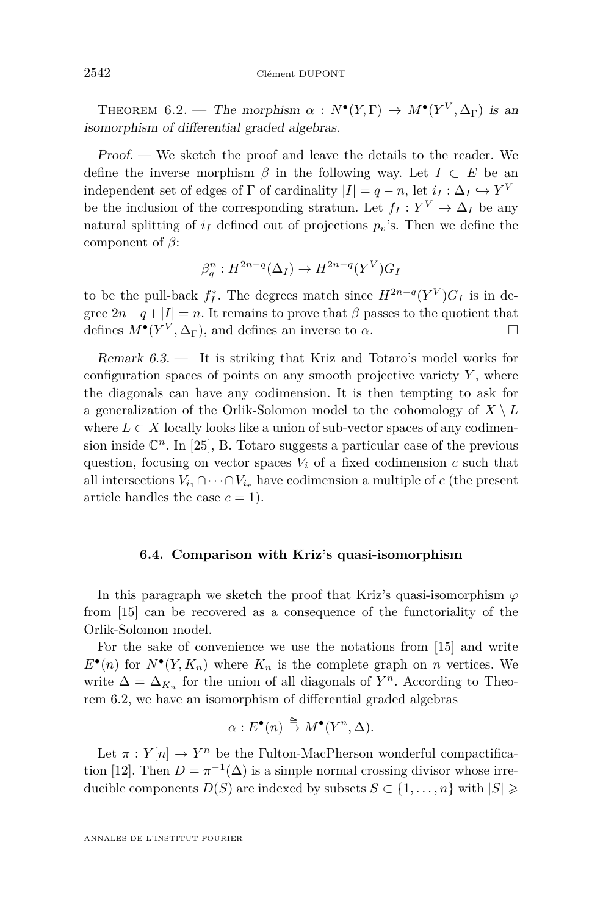<span id="page-36-0"></span>THEOREM 6.2. — The morphism  $\alpha : N^{\bullet}(Y,\Gamma) \to M^{\bullet}(Y^V,\Delta_{\Gamma})$  is an isomorphism of differential graded algebras.

Proof. — We sketch the proof and leave the details to the reader. We define the inverse morphism  $\beta$  in the following way. Let  $I \subset E$  be an independent set of edges of  $\Gamma$  of cardinality  $|I| = q - n$ , let  $i_I : \Delta_I \hookrightarrow Y^V$ be the inclusion of the corresponding stratum. Let  $f_I: Y^V \to \Delta_I$  be any natural splitting of  $i_I$  defined out of projections  $p_v$ 's. Then we define the component of *β*:

$$
\beta_q^n : H^{2n-q}(\Delta_I) \to H^{2n-q}(Y^V)G_I
$$

to be the pull-back  $f_I^*$ . The degrees match since  $H^{2n-q}(Y^V)G_I$  is in degree  $2n-q+|I|=n$ . It remains to prove that  $\beta$  passes to the quotient that defines  $M^{\bullet}(Y^V, \Delta_{\Gamma})$ , and defines an inverse to  $\alpha$ .

Remark 6.3. — It is striking that Kriz and Totaro's model works for configuration spaces of points on any smooth projective variety  $Y$ , where the diagonals can have any codimension. It is then tempting to ask for a generalization of the Orlik-Solomon model to the cohomology of  $X \setminus L$ where  $L \subset X$  locally looks like a union of sub-vector spaces of any codimension inside  $\mathbb{C}^n$ . In [\[25\]](#page-38-0), B. Totaro suggests a particular case of the previous question, focusing on vector spaces  $V_i$  of a fixed codimension  $c$  such that all intersections  $V_{i_1} \cap \cdots \cap V_{i_r}$  have codimension a multiple of *c* (the present article handles the case  $c = 1$ .

### **6.4. Comparison with Kriz's quasi-isomorphism**

In this paragraph we sketch the proof that Kriz's quasi-isomorphism  $\varphi$ from [\[15\]](#page-38-0) can be recovered as a consequence of the functoriality of the Orlik-Solomon model.

For the sake of convenience we use the notations from [\[15\]](#page-38-0) and write  $E^{\bullet}(n)$  for  $N^{\bullet}(Y, K_n)$  where  $K_n$  is the complete graph on *n* vertices. We write  $\Delta = \Delta_{K_n}$  for the union of all diagonals of  $Y^n$ . According to Theorem 6.2, we have an isomorphism of differential graded algebras

$$
\alpha: E^{\bullet}(n) \stackrel{\cong}{\to} M^{\bullet}(Y^n, \Delta).
$$

Let  $\pi: Y[n] \to Y^n$  be the Fulton-MacPherson wonderful compactifica-tion [\[12\]](#page-38-0). Then  $D = \pi^{-1}(\Delta)$  is a simple normal crossing divisor whose irreducible components *D*(*S*) are indexed by subsets *S* ⊂ {1, . . . , *n*} with  $|S|$  ≥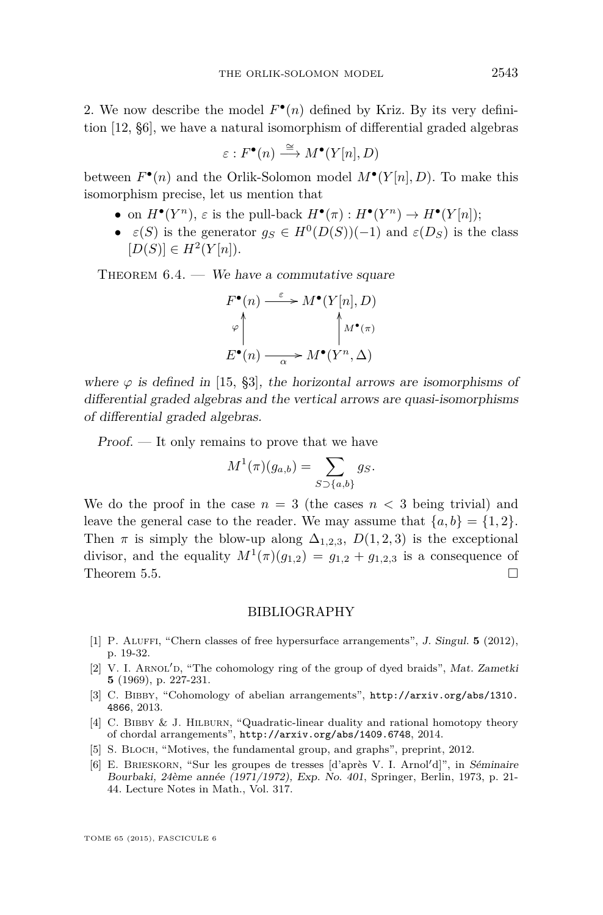<span id="page-37-0"></span>2. We now describe the model  $F^{\bullet}(n)$  defined by Kriz. By its very definition [\[12,](#page-38-0) §6], we have a natural isomorphism of differential graded algebras

$$
\varepsilon: F^{\bullet}(n) \stackrel{\cong}{\longrightarrow} M^{\bullet}(Y[n], D)
$$

between  $F^{\bullet}(n)$  and the Orlik-Solomon model  $M^{\bullet}(Y[n], D)$ . To make this isomorphism precise, let us mention that

- on  $H^{\bullet}(Y^n)$ ,  $\varepsilon$  is the pull-back  $H^{\bullet}(\pi): H^{\bullet}(Y^n) \to H^{\bullet}(Y[n])$ ;
- $\varepsilon(S)$  is the generator  $g_S \in H^0(D(S))(-1)$  and  $\varepsilon(D_S)$  is the class  $[D(S)] \in H^2(Y[n]).$

THEOREM  $6.4.$  — We have a commutative square

$$
F^{\bullet}(n) \xrightarrow{\varepsilon} M^{\bullet}(Y[n], D)
$$
  
\n
$$
\varphi \uparrow \qquad \qquad \uparrow M^{\bullet}(\pi)
$$
  
\n
$$
E^{\bullet}(n) \xrightarrow{\alpha} M^{\bullet}(Y^n, \Delta)
$$

where  $\varphi$  is defined in [\[15,](#page-38-0) §3], the horizontal arrows are isomorphisms of differential graded algebras and the vertical arrows are quasi-isomorphisms of differential graded algebras.

Proof. — It only remains to prove that we have

$$
M^1(\pi)(g_{a,b}) = \sum_{S \supset \{a,b\}} g_S.
$$

We do the proof in the case  $n = 3$  (the cases  $n < 3$  being trivial) and leave the general case to the reader. We may assume that  $\{a, b\} = \{1, 2\}.$ Then  $\pi$  is simply the blow-up along  $\Delta_{1,2,3}$ ,  $D(1,2,3)$  is the exceptional divisor, and the equality  $M^1(\pi)(g_{1,2}) = g_{1,2} + g_{1,2,3}$  is a consequence of Theorem [5.5.](#page-32-0)  $\Box$ 

#### BIBLIOGRAPHY

- [1] P. Aluffi, "Chern classes of free hypersurface arrangements", J. Singul. **5** (2012), p. 19-32.
- [2] V. I. ARNOL'D, "The cohomology ring of the group of dyed braids", Mat. Zametki **5** (1969), p. 227-231.
- [3] C. Bibby, "Cohomology of abelian arrangements", [http://arxiv.org/abs/1310.](http://arxiv.org/abs/1310.4866) [4866](http://arxiv.org/abs/1310.4866), 2013.
- [4] C. Bibby & J. Hilburn, "Quadratic-linear duality and rational homotopy theory of chordal arrangements", <http://arxiv.org/abs/1409.6748>, 2014.
- [5] S. BLOCH, "Motives, the fundamental group, and graphs", preprint, 2012.
- [6] E. BRIESKORN, "Sur les groupes de tresses  $\lbrack d \rbrack$ " and  $\lbrack d \rbrack$ ", in Séminaire Bourbaki, 24ème année (1971/1972), Exp. No. 401, Springer, Berlin, 1973, p. 21- 44. Lecture Notes in Math., Vol. 317.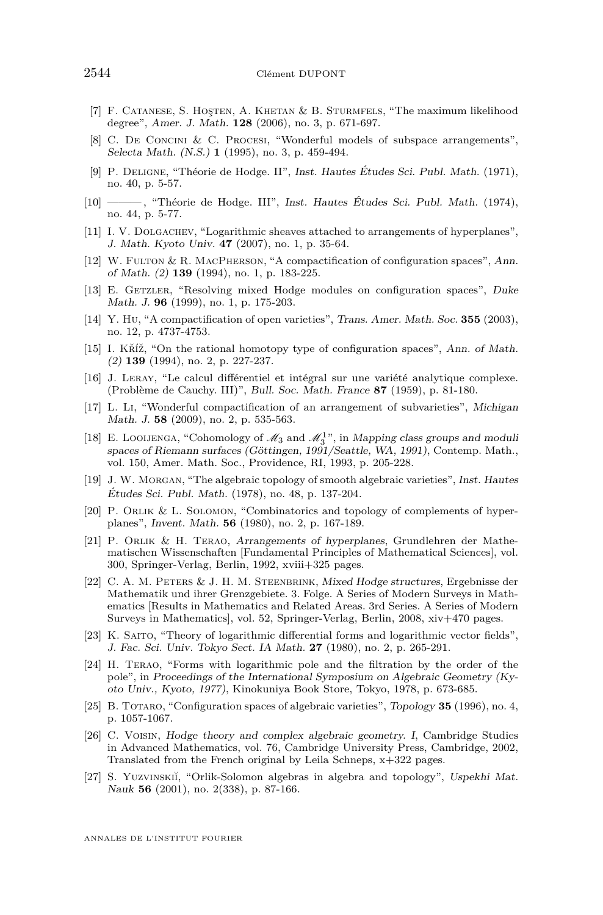- <span id="page-38-0"></span>[7] F. Catanese, S. Hoşten, A. Khetan & B. Sturmfels, "The maximum likelihood degree", Amer. J. Math. **128** (2006), no. 3, p. 671-697.
- [8] C. De Concini & C. Procesi, "Wonderful models of subspace arrangements", Selecta Math. (N.S.) **1** (1995), no. 3, p. 459-494.
- [9] P. Deligne, "Théorie de Hodge. II", Inst. Hautes Études Sci. Publ. Math. (1971), no. 40, p. 5-57.
- [10] ——— , "Théorie de Hodge. III", Inst. Hautes Études Sci. Publ. Math. (1974), no. 44, p. 5-77.
- [11] I. V. Dolgachev, "Logarithmic sheaves attached to arrangements of hyperplanes", J. Math. Kyoto Univ. **47** (2007), no. 1, p. 35-64.
- [12] W. Fulton & R. MacPherson, "A compactification of configuration spaces", Ann. of Math. (2) **139** (1994), no. 1, p. 183-225.
- [13] E. GETZLER, "Resolving mixed Hodge modules on configuration spaces", Duke Math. J. **96** (1999), no. 1, p. 175-203.
- [14] Y. Hu, "A compactification of open varieties", Trans. Amer. Math. Soc. **355** (2003), no. 12, p. 4737-4753.
- [15] I. Kříž, "On the rational homotopy type of configuration spaces", Ann. of Math. (2) **139** (1994), no. 2, p. 227-237.
- [16] J. Leray, "Le calcul différentiel et intégral sur une variété analytique complexe. (Problème de Cauchy. III)", Bull. Soc. Math. France **87** (1959), p. 81-180.
- [17] L. Li, "Wonderful compactification of an arrangement of subvarieties", Michigan Math. J. **58** (2009), no. 2, p. 535-563.
- [18] E. LOOIJENGA, "Cohomology of  $\mathcal{M}_3$  and  $\mathcal{M}_3^1$ ", in Mapping class groups and moduli spaces of Riemann surfaces (Göttingen, 1991/Seattle, WA, 1991), Contemp. Math., vol. 150, Amer. Math. Soc., Providence, RI, 1993, p. 205-228.
- [19] J. W. Morgan, "The algebraic topology of smooth algebraic varieties", Inst. Hautes Études Sci. Publ. Math. (1978), no. 48, p. 137-204.
- [20] P. Orlik & L. Solomon, "Combinatorics and topology of complements of hyperplanes", Invent. Math. **56** (1980), no. 2, p. 167-189.
- [21] P. Orlik & H. Terao, Arrangements of hyperplanes, Grundlehren der Mathematischen Wissenschaften [Fundamental Principles of Mathematical Sciences], vol. 300, Springer-Verlag, Berlin, 1992, xviii+325 pages.
- [22] C. A. M. Peters & J. H. M. Steenbrink, Mixed Hodge structures, Ergebnisse der Mathematik und ihrer Grenzgebiete. 3. Folge. A Series of Modern Surveys in Mathematics [Results in Mathematics and Related Areas. 3rd Series. A Series of Modern Surveys in Mathematics], vol. 52, Springer-Verlag, Berlin, 2008, xiv+470 pages.
- [23] K. Saito, "Theory of logarithmic differential forms and logarithmic vector fields", J. Fac. Sci. Univ. Tokyo Sect. IA Math. **27** (1980), no. 2, p. 265-291.
- [24] H. Terao, "Forms with logarithmic pole and the filtration by the order of the pole", in Proceedings of the International Symposium on Algebraic Geometry (Kyoto Univ., Kyoto, 1977), Kinokuniya Book Store, Tokyo, 1978, p. 673-685.
- [25] B. TOTARO, "Configuration spaces of algebraic varieties", Topology 35 (1996), no. 4, p. 1057-1067.
- [26] C. Voisin, Hodge theory and complex algebraic geometry. I, Cambridge Studies in Advanced Mathematics, vol. 76, Cambridge University Press, Cambridge, 2002, Translated from the French original by Leila Schneps, x+322 pages.
- [27] S. YUZVINSKII, "Orlik-Solomon algebras in algebra and topology", Uspekhi Mat. Nauk **56** (2001), no. 2(338), p. 87-166.